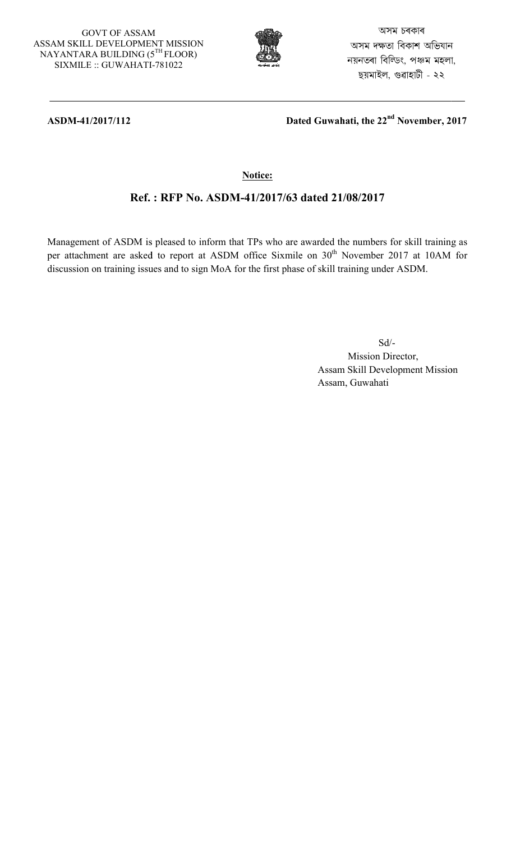#### GOVT OF ASSAM ASSAM SKILL DEVELOPMENT MISSION GOVT OF ASSAM<br>SSAM SKILL DEVELOPMENT MISSIO<br>NAYANTARA BUILDING (5<sup>TH</sup> FLOOR) SIXMILE :: GUWAHATI GUWAHATI-781022



অসম চৰকাৰ অসম দক্ষতা বিকাশ অভিযান নয়নতৰা বিল্ডিং, পঞ্চম মহলা, ছয়মাইল, গুৱাহাটী - ২২

### **ASDM-41/2017/112**

 **Dated Guwahati, the 22 nd November, 2017**

## **Notice:**

# **Ref. : RFP No. ASDM ASDM-41/2017/63 dated 21/08/2017**

Management of ASDM is pleased to inform that TPs who are awarded the numbers for skill training as per attachment are asked to report at ASDM office Sixmile on 30 discussion on training issues and to sign MoA for the first phase of skill training under ASDM. agement of ASDM is pleased to inform that TPs who are awarded<br>attachment are asked to report at ASDM office Sixmile on 30<sup>th</sup><br>ussion on training issues and to sign MoA for the first phase of skill th November 2017 at 10AM for

Sd/- Mission Director, Assam Skill Development Mission Assam, Guwahati at 10AM 1<br>DM.<br>r,<br>r,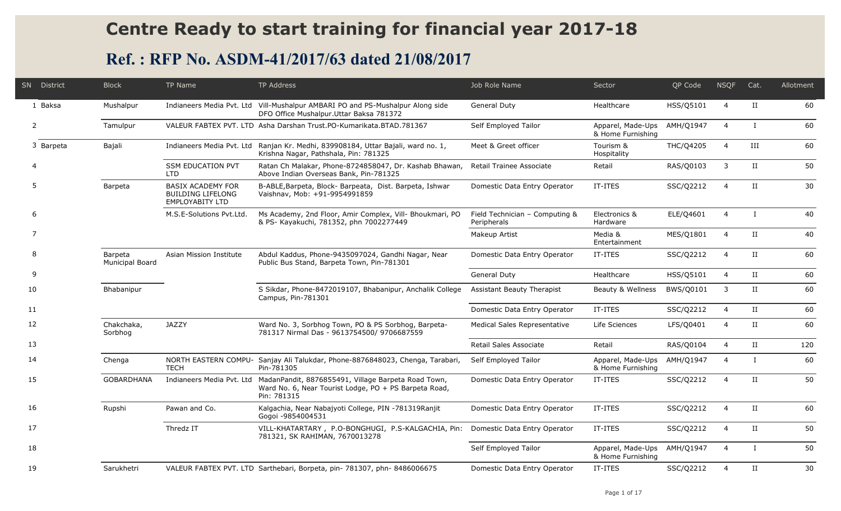# **Centre Ready to start training for financial year 2017-18**

# **Ref. : RFP No. ASDM-41/2017/63 dated 21/08/2017**

| SN | District  | <b>Block</b>                      | TP Name                                                                        | TP Address                                                                                                                                            | Job Role Name                                 | Sector                                 | QP Code   | <b>NSQF</b>    | Cat.         | Allotment |
|----|-----------|-----------------------------------|--------------------------------------------------------------------------------|-------------------------------------------------------------------------------------------------------------------------------------------------------|-----------------------------------------------|----------------------------------------|-----------|----------------|--------------|-----------|
|    | 1 Baksa   | Mushalpur                         |                                                                                | Indianeers Media Pvt. Ltd Vill-Mushalpur AMBARI PO and PS-Mushalpur Along side<br>DFO Office Mushalpur.Uttar Baksa 781372                             | General Duty                                  | Healthcare                             | HSS/Q5101 | $\overline{4}$ | II           | 60        |
|    | 2         | Tamulpur                          |                                                                                | VALEUR FABTEX PVT, LTD Asha Darshan Trust, PO-Kumarikata, BTAD, 781367                                                                                | Self Employed Tailor                          | Apparel, Made-Ups<br>& Home Furnishing | AMH/Q1947 | $\overline{4}$ | $\bf{I}$     | 60        |
|    | 3 Barpeta | Bajali                            | Indianeers Media Pvt. Ltd                                                      | Ranjan Kr. Medhi, 839908184, Uttar Bajali, ward no. 1,<br>Krishna Nagar, Pathshala, Pin: 781325                                                       | Meet & Greet officer                          | Tourism &<br>Hospitality               | THC/Q4205 | $\overline{4}$ | Ш            | 60        |
|    |           |                                   | <b>SSM EDUCATION PVT</b><br><b>LTD</b>                                         | Ratan Ch Malakar, Phone-8724858047, Dr. Kashab Bhawan,<br>Above Indian Overseas Bank, Pin-781325                                                      | Retail Trainee Associate                      | Retail                                 | RAS/Q0103 | 3              | $_{\rm II}$  | 50        |
| .5 |           | Barpeta                           | <b>BASIX ACADEMY FOR</b><br><b>BUILDING LIFELONG</b><br><b>EMPLOYABITY LTD</b> | B-ABLE, Barpeta, Block- Barpeata, Dist. Barpeta, Ishwar<br>Vaishnav, Mob: +91-9954991859                                                              | Domestic Data Entry Operator                  | IT-ITES                                | SSC/Q2212 | $\overline{4}$ | $_{\rm II}$  | 30        |
|    | 6         |                                   | M.S.E-Solutions Pvt.Ltd.                                                       | Ms Academy, 2nd Floor, Amir Complex, Vill- Bhoukmari, PO<br>& PS- Kayakuchi, 781352, phn 7002277449                                                   | Field Technician - Computing &<br>Peripherals | Electronics &<br>Hardware              | ELE/Q4601 | $\overline{4}$ | $\mathbf{I}$ | 40        |
|    |           |                                   |                                                                                |                                                                                                                                                       | Makeup Artist                                 | Media &<br>Entertainment               | MES/Q1801 | $\overline{4}$ | $_{\rm II}$  | 40        |
|    | 8         | Barpeta<br><b>Municipal Board</b> | Asian Mission Institute                                                        | Abdul Kaddus, Phone-9435097024, Gandhi Nagar, Near<br>Public Bus Stand, Barpeta Town, Pin-781301                                                      | Domestic Data Entry Operator                  | IT-ITES                                | SSC/Q2212 | $\overline{4}$ | II           | 60        |
| 9  |           |                                   |                                                                                |                                                                                                                                                       | General Duty                                  | Healthcare                             | HSS/Q5101 | $\overline{4}$ | II           | 60        |
| 10 |           | Bhabanipur                        |                                                                                | S Sikdar, Phone-8472019107, Bhabanipur, Anchalik College<br>Campus, Pin-781301                                                                        | Assistant Beauty Therapist                    | Beauty & Wellness                      | BWS/Q0101 | 3              | II           | 60        |
| 11 |           |                                   |                                                                                |                                                                                                                                                       | Domestic Data Entry Operator                  | IT-ITES                                | SSC/Q2212 | $\overline{4}$ | $_{\rm II}$  | 60        |
| 12 |           | Chakchaka,<br>Sorbhog             | <b>JAZZY</b>                                                                   | Ward No. 3, Sorbhog Town, PO & PS Sorbhog, Barpeta-<br>781317 Nirmal Das - 9613754500/ 9706687559                                                     | Medical Sales Representative                  | Life Sciences                          | LFS/Q0401 | 4              | II           | 60        |
| 13 |           |                                   |                                                                                |                                                                                                                                                       | Retail Sales Associate                        | Retail                                 | RAS/Q0104 | $\overline{4}$ | II           | 120       |
| 14 |           | Chenga                            | <b>TECH</b>                                                                    | NORTH EASTERN COMPU- Sanjay Ali Talukdar, Phone-8876848023, Chenga, Tarabari,<br>Pin-781305                                                           | Self Employed Tailor                          | Apparel, Made-Ups<br>& Home Furnishing | AMH/Q1947 | $\overline{4}$ | $\mathbf{I}$ | 60        |
| 15 |           | <b>GOBARDHANA</b>                 |                                                                                | Indianeers Media Pvt. Ltd MadanPandit, 8876855491, Village Barpeta Road Town,<br>Ward No. 6, Near Tourist Lodge, PO + PS Barpeta Road,<br>Pin: 781315 | Domestic Data Entry Operator                  | IT-ITES                                | SSC/Q2212 | $\overline{4}$ | $_{\rm II}$  | 50        |
| 16 |           | Rupshi                            | Pawan and Co.                                                                  | Kalgachia, Near Nabajyoti College, PIN -781319Ranjit<br>Gogoi -9854004531                                                                             | Domestic Data Entry Operator                  | IT-ITES                                | SSC/Q2212 | $\overline{4}$ | II           | 60        |
| 17 |           |                                   | Thredz IT                                                                      | VILL-KHATARTARY, P.O-BONGHUGI, P.S-KALGACHIA, Pin:<br>781321, SK RAHIMAN, 7670013278                                                                  | Domestic Data Entry Operator                  | IT-ITES                                | SSC/Q2212 | $\overline{4}$ | II           | 50        |
| 18 |           |                                   |                                                                                |                                                                                                                                                       | Self Employed Tailor                          | Apparel, Made-Ups<br>& Home Furnishing | AMH/Q1947 | $\overline{4}$ | $\mathbf{I}$ | 50        |
| 19 |           | Sarukhetri                        |                                                                                | VALEUR FABTEX PVT. LTD Sarthebari, Borpeta, pin- 781307, phn- 8486006675                                                                              | Domestic Data Entry Operator                  | IT-ITES                                | SSC/Q2212 | $\overline{4}$ | $_{\rm II}$  | 30        |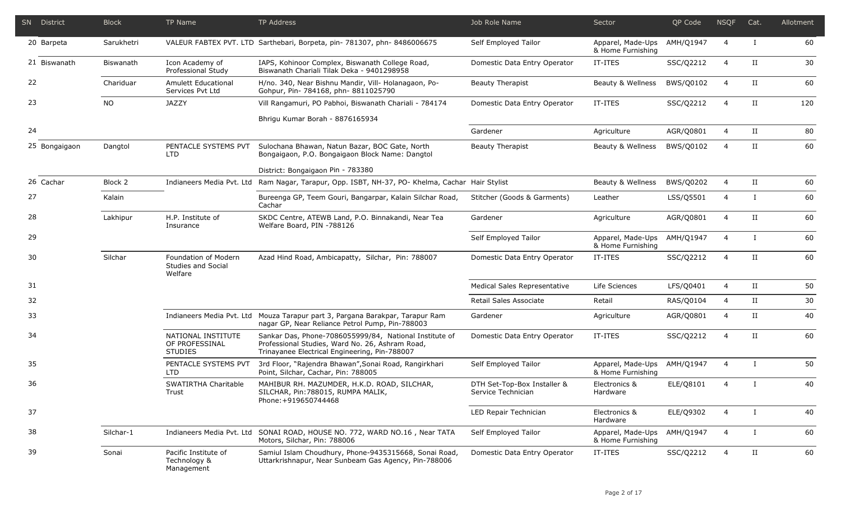|    | SN District   | <b>Block</b> | TP Name                                                | TP Address                                                                                                                                                 | Job Role Name                                     | Sector                                 | OP Code   | <b>NSQF</b>    | Cat.         | Allotment |
|----|---------------|--------------|--------------------------------------------------------|------------------------------------------------------------------------------------------------------------------------------------------------------------|---------------------------------------------------|----------------------------------------|-----------|----------------|--------------|-----------|
|    | 20 Barpeta    | Sarukhetri   |                                                        | VALEUR FABTEX PVT. LTD Sarthebari, Borpeta, pin- 781307, phn- 8486006675                                                                                   | Self Employed Tailor                              | Apparel, Made-Ups<br>& Home Furnishing | AMH/Q1947 | $\overline{4}$ | $\bf{I}$     | 60        |
|    | 21 Biswanath  | Biswanath    | Icon Academy of<br>Professional Study                  | IAPS, Kohinoor Complex, Biswanath College Road,<br>Biswanath Chariali Tilak Deka - 9401298958                                                              | Domestic Data Entry Operator                      | IT-ITES                                | SSC/Q2212 | $\overline{4}$ | $_{\rm II}$  | 30        |
| 22 |               | Chariduar    | Amulett Educational<br>Services Pvt Ltd                | H/no. 340, Near Bishnu Mandir, Vill- Holanagaon, Po-<br>Gohpur, Pin- 784168, phn- 8811025790                                                               | <b>Beauty Therapist</b>                           | Beauty & Wellness                      | BWS/Q0102 | $\overline{4}$ | II           | 60        |
| 23 |               | NO.          | <b>JAZZY</b>                                           | Vill Rangamuri, PO Pabhoi, Biswanath Chariali - 784174                                                                                                     | Domestic Data Entry Operator                      | IT-ITES                                | SSC/Q2212 | $\overline{4}$ | $_{\rm II}$  | 120       |
|    |               |              |                                                        | Bhrigu Kumar Borah - 8876165934                                                                                                                            |                                                   |                                        |           |                |              |           |
| 24 |               |              |                                                        |                                                                                                                                                            | Gardener                                          | Agriculture                            | AGR/Q0801 | 4              | II           | 80        |
|    | 25 Bongaigaon | Dangtol      | PENTACLE SYSTEMS PVT<br><b>LTD</b>                     | Sulochana Bhawan, Natun Bazar, BOC Gate, North<br>Bongaigaon, P.O. Bongaigaon Block Name: Dangtol                                                          | <b>Beauty Therapist</b>                           | Beauty & Wellness                      | BWS/Q0102 | $\overline{4}$ | $_{\rm II}$  | 60        |
|    |               |              |                                                        | District: Bongaigaon Pin - 783380                                                                                                                          |                                                   |                                        |           |                |              |           |
|    | 26 Cachar     | Block 2      | Indianeers Media Pvt. Ltd                              | Ram Nagar, Tarapur, Opp. ISBT, NH-37, PO- Khelma, Cachar Hair Stylist                                                                                      |                                                   | Beauty & Wellness                      | BWS/Q0202 | $\overline{4}$ | II           | 60        |
| 27 |               | Kalain       |                                                        | Bureenga GP, Teem Gouri, Bangarpar, Kalain Silchar Road,<br>Cachar                                                                                         | Stitcher (Goods & Garments)                       | Leather                                | LSS/Q5501 | $\overline{4}$ | $\bf{I}$     | 60        |
| 28 |               | Lakhipur     | H.P. Institute of<br>Insurance                         | SKDC Centre, ATEWB Land, P.O. Binnakandi, Near Tea<br>Welfare Board, PIN -788126                                                                           | Gardener                                          | Agriculture                            | AGR/Q0801 | $\overline{4}$ | $_{\rm II}$  | 60        |
| 29 |               |              |                                                        |                                                                                                                                                            | Self Employed Tailor                              | Apparel, Made-Ups<br>& Home Furnishing | AMH/Q1947 | $\overline{4}$ | $\bf{I}$     | 60        |
| 30 |               | Silchar      | Foundation of Modern<br>Studies and Social<br>Welfare  | Azad Hind Road, Ambicapatty, Silchar, Pin: 788007                                                                                                          | Domestic Data Entry Operator                      | IT-ITES                                | SSC/Q2212 | $\overline{4}$ | $_{\rm II}$  | 60        |
| 31 |               |              |                                                        |                                                                                                                                                            | Medical Sales Representative                      | Life Sciences                          | LFS/Q0401 | $\overline{4}$ | $_{\rm II}$  | 50        |
| 32 |               |              |                                                        |                                                                                                                                                            | Retail Sales Associate                            | Retail                                 | RAS/Q0104 | $\overline{4}$ | II           | 30        |
| 33 |               |              | Indianeers Media Pvt. Ltd                              | Mouza Tarapur part 3, Pargana Barakpar, Tarapur Ram<br>nagar GP, Near Reliance Petrol Pump, Pin-788003                                                     | Gardener                                          | Agriculture                            | AGR/Q0801 | $\overline{4}$ | $_{\rm II}$  | 40        |
| 34 |               |              | NATIONAL INSTITUTE<br>OF PROFESSINAL<br><b>STUDIES</b> | Sankar Das, Phone-7086055999/84, National Institute of<br>Professional Studies, Ward No. 26, Ashram Road,<br>Trinayanee Electrical Engineering, Pin-788007 | Domestic Data Entry Operator                      | IT-ITES                                | SSC/Q2212 | $\overline{4}$ | $_{\rm II}$  | 60        |
| 35 |               |              | PENTACLE SYSTEMS PVT<br><b>LTD</b>                     | 3rd Floor, "Rajendra Bhawan", Sonai Road, Rangirkhari<br>Point, Silchar, Cachar, Pin: 788005                                                               | Self Employed Tailor                              | Apparel, Made-Ups<br>& Home Furnishing | AMH/Q1947 | $\overline{4}$ | $\mathbf{I}$ | 50        |
| 36 |               |              | SWATIRTHA Charitable<br>Trust                          | MAHIBUR RH. MAZUMDER, H.K.D. ROAD, SILCHAR,<br>SILCHAR, Pin: 788015, RUMPA MALIK,<br>Phone: +919650744468                                                  | DTH Set-Top-Box Installer &<br>Service Technician | Electronics &<br>Hardware              | ELE/Q8101 | 4              | $\mathbf{I}$ | 40        |
| 37 |               |              |                                                        |                                                                                                                                                            | LED Repair Technician                             | Electronics &<br>Hardware              | ELE/Q9302 | $\overline{4}$ | $\bf{I}$     | 40        |
| 38 |               | Silchar-1    |                                                        | Indianeers Media Pvt. Ltd SONAI ROAD, HOUSE NO. 772, WARD NO.16, Near TATA<br>Motors, Silchar, Pin: 788006                                                 | Self Employed Tailor                              | Apparel, Made-Ups<br>& Home Furnishing | AMH/Q1947 | $\overline{4}$ | $\bf{I}$     | 60        |
| 39 |               | Sonai        | Pacific Institute of<br>Technology &<br>Management     | Samiul Islam Choudhury, Phone-9435315668, Sonai Road,<br>Uttarkrishnapur, Near Sunbeam Gas Agency, Pin-788006                                              | Domestic Data Entry Operator                      | IT-ITES                                | SSC/Q2212 | $\overline{4}$ | II           | 60        |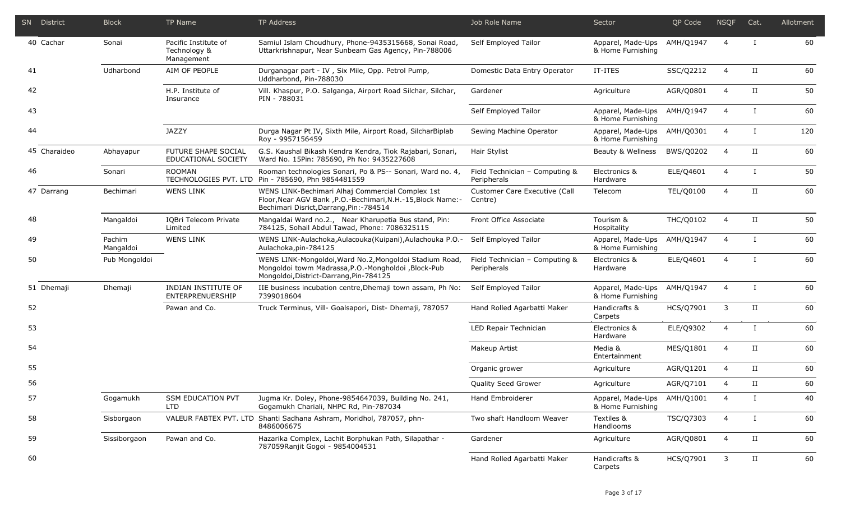|    | SN District  | <b>Block</b>        | <b>TP Name</b>                                     | <b>TP Address</b>                                                                                                                                            | Job Role Name                                 | Sector                                           | QP Code   | <b>NSQF</b>    | Cat.         | Allotment |
|----|--------------|---------------------|----------------------------------------------------|--------------------------------------------------------------------------------------------------------------------------------------------------------------|-----------------------------------------------|--------------------------------------------------|-----------|----------------|--------------|-----------|
|    | 40 Cachar    | Sonai               | Pacific Institute of<br>Technology &<br>Management | Samiul Islam Choudhury, Phone-9435315668, Sonai Road,<br>Uttarkrishnapur, Near Sunbeam Gas Agency, Pin-788006                                                | Self Employed Tailor                          | Apparel, Made-Ups<br>& Home Furnishing           | AMH/Q1947 | $\overline{4}$ | $\mathbf{I}$ | 60        |
| 41 |              | Udharbond           | AIM OF PEOPLE                                      | Durganagar part - IV, Six Mile, Opp. Petrol Pump,<br>Uddharbond, Pin-788030                                                                                  | Domestic Data Entry Operator                  | IT-ITES                                          | SSC/Q2212 | 4              | $_{\rm II}$  | 60        |
| 42 |              |                     | H.P. Institute of<br>Insurance                     | Vill. Khaspur, P.O. Salganga, Airport Road Silchar, Silchar,<br>PIN - 788031                                                                                 | Gardener                                      | Agriculture                                      | AGR/Q0801 | 4              | $_{\rm II}$  | 50        |
| 43 |              |                     |                                                    |                                                                                                                                                              | Self Employed Tailor                          | Apparel, Made-Ups AMH/Q1947<br>& Home Furnishing |           | $\overline{4}$ | $\mathsf{I}$ | 60        |
| 44 |              |                     | <b>JAZZY</b>                                       | Durga Nagar Pt IV, Sixth Mile, Airport Road, SilcharBiplab<br>Roy - 9957156459                                                                               | Sewing Machine Operator                       | Apparel, Made-Ups AMH/Q0301<br>& Home Furnishing |           | $\overline{4}$ | $\mathbf{I}$ | 120       |
|    | 45 Charaideo | Abhayapur           | FUTURE SHAPE SOCIAL<br>EDUCATIONAL SOCIETY         | G.S. Kaushal Bikash Kendra Kendra, Tiok Rajabari, Sonari,<br>Ward No. 15Pin: 785690, Ph No: 9435227608                                                       | Hair Stylist                                  | Beauty & Wellness                                | BWS/Q0202 | 4              | $_{\rm II}$  | 60        |
| 46 |              | Sonari              | <b>ROOMAN</b>                                      | Rooman technologies Sonari, Po & PS-- Sonari, Ward no. 4,<br>TECHNOLOGIES PVT. LTD Pin - 785690, Phn 9854481559                                              | Field Technician - Computing &<br>Peripherals | Electronics &<br>Hardware                        | ELE/Q4601 | $\overline{4}$ | $\mathbf{I}$ | 50        |
|    | 47 Darrang   | Bechimari           | <b>WENS LINK</b>                                   | WENS LINK-Bechimari Alhaj Commercial Complex 1st<br>Floor, Near AGV Bank, P.O.-Bechimari, N.H.-15, Block Name:-<br>Bechimari Disrict, Darrang, Pin: - 784514 | Customer Care Executive (Call<br>Centre)      | Telecom                                          | TEL/Q0100 | $\overline{4}$ | $\rm II$     | 60        |
| 48 |              | Mangaldoi           | IQBri Telecom Private<br>Limited                   | Mangaldai Ward no.2., Near Kharupetia Bus stand, Pin:<br>784125, Sohail Abdul Tawad, Phone: 7086325115                                                       | Front Office Associate                        | Tourism &<br>Hospitality                         | THC/Q0102 | $\overline{4}$ | II           | 50        |
| 49 |              | Pachim<br>Mangaldoi | <b>WENS LINK</b>                                   | WENS LINK-Aulachoka, Aulacouka (Kuipani), Aulachouka P.O.-<br>Aulachoka, pin-784125                                                                          | Self Employed Tailor                          | Apparel, Made-Ups<br>& Home Furnishing           | AMH/Q1947 | $\overline{4}$ | $\mathsf{I}$ | 60        |
| 50 |              | Pub Mongoldoi       |                                                    | WENS LINK-Mongoldoi, Ward No.2, Mongoldoi Stadium Road,<br>Mongoldoi towm Madrassa, P.O.-Mongholdoi, Block-Pub<br>Mongoldoi, District-Darrang, Pin-784125    | Field Technician - Computing &<br>Peripherals | Electronics &<br>Hardware                        | ELE/Q4601 | $\overline{4}$ | $\mathsf{I}$ | 60        |
|    | 51 Dhemaji   | Dhemaji             | INDIAN INSTITUTE OF<br>ENTERPRENUERSHIP            | IIE business incubation centre, Dhemaji town assam, Ph No:<br>7399018604                                                                                     | Self Employed Tailor                          | Apparel, Made-Ups<br>& Home Furnishing           | AMH/Q1947 | $\overline{4}$ | $\bf{I}$     | 60        |
| 52 |              |                     | Pawan and Co.                                      | Truck Terminus, Vill- Goalsapori, Dist- Dhemaji, 787057                                                                                                      | Hand Rolled Agarbatti Maker                   | Handicrafts &<br>Carpets                         | HCS/Q7901 | 3              | П            | 60        |
| 53 |              |                     |                                                    |                                                                                                                                                              | LED Repair Technician                         | Electronics &<br>Hardware                        | ELE/Q9302 | $\overline{4}$ | $\bf{I}$     | 60        |
| 54 |              |                     |                                                    |                                                                                                                                                              | Makeup Artist                                 | Media &<br>Entertainment                         | MES/Q1801 | $\overline{4}$ | $_{\rm II}$  | 60        |
| 55 |              |                     |                                                    |                                                                                                                                                              | Organic grower                                | Agriculture                                      | AGR/Q1201 | 4              | $_{\rm II}$  | 60        |
| 56 |              |                     |                                                    |                                                                                                                                                              | Quality Seed Grower                           | Agriculture                                      | AGR/Q7101 | 4              | П            | 60        |
| 57 |              | Gogamukh            | <b>SSM EDUCATION PVT</b><br>LTD.                   | Jugma Kr. Doley, Phone-9854647039, Building No. 241,<br>Gogamukh Chariali, NHPC Rd, Pin-787034                                                               | Hand Embroiderer                              | Apparel, Made-Ups AMH/Q1001<br>& Home Furnishing |           | $\overline{4}$ | $\bf{I}$     | 40        |
| 58 |              | Sisborgaon          |                                                    | VALEUR FABTEX PVT. LTD Shanti Sadhana Ashram, Moridhol, 787057, phn-<br>8486006675                                                                           | Two shaft Handloom Weaver                     | Textiles &<br>Handlooms                          | TSC/Q7303 | 4              | Ι.           | 60        |
| 59 |              | Sissiborgaon        | Pawan and Co.                                      | Hazarika Complex, Lachit Borphukan Path, Silapathar -<br>787059Ranjit Gogoi - 9854004531                                                                     | Gardener                                      | Agriculture                                      | AGR/Q0801 | 4              | II           | 60        |
| 60 |              |                     |                                                    |                                                                                                                                                              | Hand Rolled Agarbatti Maker                   | Handicrafts &<br>Carpets                         | HCS/Q7901 | 3              | II           | 60        |

г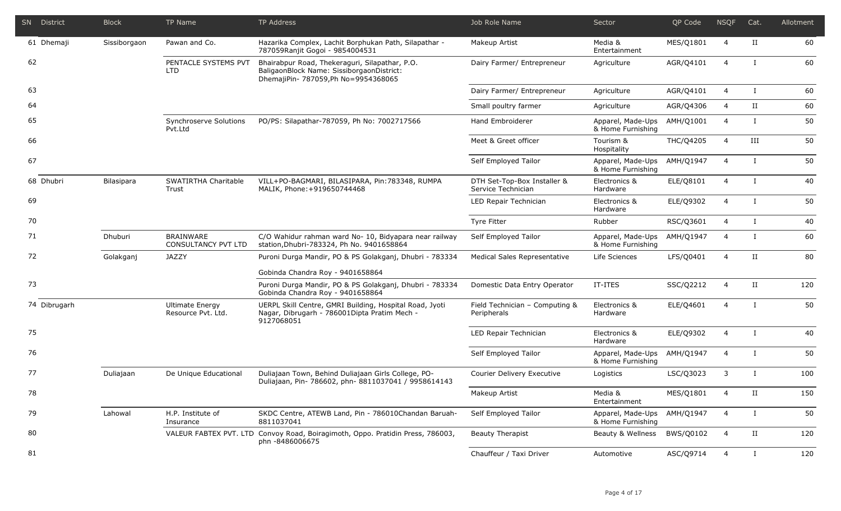| SN District  | <b>Block</b> | <b>TP Name</b>                                 | TP Address                                                                                                                          | Job Role Name                                     | Sector                                 | QP Code   | <b>NSQF</b>    | Cat.         | Allotment |
|--------------|--------------|------------------------------------------------|-------------------------------------------------------------------------------------------------------------------------------------|---------------------------------------------------|----------------------------------------|-----------|----------------|--------------|-----------|
| 61 Dhemaji   | Sissiborgaon | Pawan and Co.                                  | Hazarika Complex, Lachit Borphukan Path, Silapathar -<br>787059Ranjit Gogoi - 9854004531                                            | Makeup Artist                                     | Media &<br>Entertainment               | MES/Q1801 | $\overline{4}$ | П            | 60        |
| 62           |              | PENTACLE SYSTEMS PVT<br>LTD.                   | Bhairabpur Road, Thekeraguri, Silapathar, P.O.<br>BaligaonBlock Name: SissiborgaonDistrict:<br>DhemajiPin- 787059, Ph No=9954368065 | Dairy Farmer/ Entrepreneur                        | Agriculture                            | AGR/Q4101 | $\overline{4}$ | $\mathbf I$  | 60        |
| 63           |              |                                                |                                                                                                                                     | Dairy Farmer/ Entrepreneur                        | Agriculture                            | AGR/Q4101 | $\overline{4}$ | $\mathbf{I}$ | 60        |
| 64           |              |                                                |                                                                                                                                     | Small poultry farmer                              | Agriculture                            | AGR/Q4306 | $\overline{4}$ | $_{\rm II}$  | 60        |
| 65           |              | Synchroserve Solutions<br>Pvt.Ltd              | PO/PS: Silapathar-787059, Ph No: 7002717566                                                                                         | Hand Embroiderer                                  | Apparel, Made-Ups<br>& Home Furnishing | AMH/Q1001 | $\overline{4}$ | $\mathbf{I}$ | 50        |
| 66           |              |                                                |                                                                                                                                     | Meet & Greet officer                              | Tourism &<br>Hospitality               | THC/Q4205 | 4              | III          | 50        |
| 67           |              |                                                |                                                                                                                                     | Self Employed Tailor                              | Apparel, Made-Ups<br>& Home Furnishing | AMH/Q1947 | 4              | $\bf{I}$     | 50        |
| 68 Dhubri    | Bilasipara   | SWATIRTHA Charitable<br>Trust                  | VILL+PO-BAGMARI, BILASIPARA, Pin: 783348, RUMPA<br>MALIK, Phone: +919650744468                                                      | DTH Set-Top-Box Installer &<br>Service Technician | Electronics &<br>Hardware              | ELE/Q8101 | $\overline{4}$ | $\bf{I}$     | 40        |
| 69           |              |                                                |                                                                                                                                     | LED Repair Technician                             | Electronics &<br>Hardware              | ELE/Q9302 | 4              | $\bf{I}$     | 50        |
| 70           |              |                                                |                                                                                                                                     | Tyre Fitter                                       | Rubber                                 | RSC/Q3601 | 4              | Ι.           | 40        |
| 71           | Dhuburi      | <b>BRAINWARE</b><br><b>CONSULTANCY PVT LTD</b> | C/O Wahidur rahman ward No- 10, Bidyapara near railway<br>station, Dhubri-783324, Ph No. 9401658864                                 | Self Employed Tailor                              | Apparel, Made-Ups<br>& Home Furnishing | AMH/Q1947 | $\overline{4}$ | $\bf{I}$     | 60        |
| 72           | Golakganj    | <b>JAZZY</b>                                   | Puroni Durga Mandir, PO & PS Golakgani, Dhubri - 783334                                                                             | Medical Sales Representative                      | Life Sciences                          | LFS/Q0401 | $\overline{4}$ | $_{\rm II}$  | 80        |
|              |              |                                                | Gobinda Chandra Roy - 9401658864                                                                                                    |                                                   |                                        |           |                |              |           |
| 73           |              |                                                | Puroni Durga Mandir, PO & PS Golakganj, Dhubri - 783334<br>Gobinda Chandra Roy - 9401658864                                         | Domestic Data Entry Operator                      | IT-ITES                                | SSC/Q2212 | $\overline{4}$ | $_{\rm II}$  | 120       |
| 74 Dibrugarh |              | <b>Ultimate Energy</b><br>Resource Pvt. Ltd.   | UERPL Skill Centre, GMRI Building, Hospital Road, Jyoti<br>Nagar, Dibrugarh - 786001Dipta Pratim Mech -<br>9127068051               | Field Technician - Computing &<br>Peripherals     | Electronics &<br>Hardware              | ELE/Q4601 | $\overline{4}$ | $\mathbf{I}$ | 50        |
| 75           |              |                                                |                                                                                                                                     | LED Repair Technician                             | Electronics &<br>Hardware              | ELE/Q9302 | $\overline{4}$ | $\bf{I}$     | 40        |
| 76           |              |                                                |                                                                                                                                     | Self Employed Tailor                              | Apparel, Made-Ups<br>& Home Furnishing | AMH/Q1947 | $\overline{4}$ | $\mathbf{I}$ | 50        |
| 77           | Duliajaan    | De Unique Educational                          | Duliajaan Town, Behind Duliajaan Girls College, PO-<br>Duliajaan, Pin- 786602, phn-8811037041 / 9958614143                          | Courier Delivery Executive                        | Logistics                              | LSC/Q3023 | 3              | $\bf{I}$     | 100       |
| 78           |              |                                                |                                                                                                                                     | Makeup Artist                                     | Media &<br>Entertainment               | MES/Q1801 | 4              | П            | 150       |
| 79           | Lahowal      | H.P. Institute of<br>Insurance                 | SKDC Centre, ATEWB Land, Pin - 786010Chandan Baruah-<br>8811037041                                                                  | Self Employed Tailor                              | Apparel, Made-Ups<br>& Home Furnishing | AMH/Q1947 | 4              | Ι.           | 50        |
| 80           |              |                                                | VALEUR FABTEX PVT. LTD Convoy Road, Boiragimoth, Oppo. Pratidin Press, 786003,<br>phn -8486006675                                   | Beauty Therapist                                  | Beauty & Wellness                      | BWS/Q0102 | 4              | II           | 120       |
| 81           |              |                                                |                                                                                                                                     | Chauffeur / Taxi Driver                           | Automotive                             | ASC/Q9714 | $\overline{4}$ | $\mathbf{I}$ | 120       |

L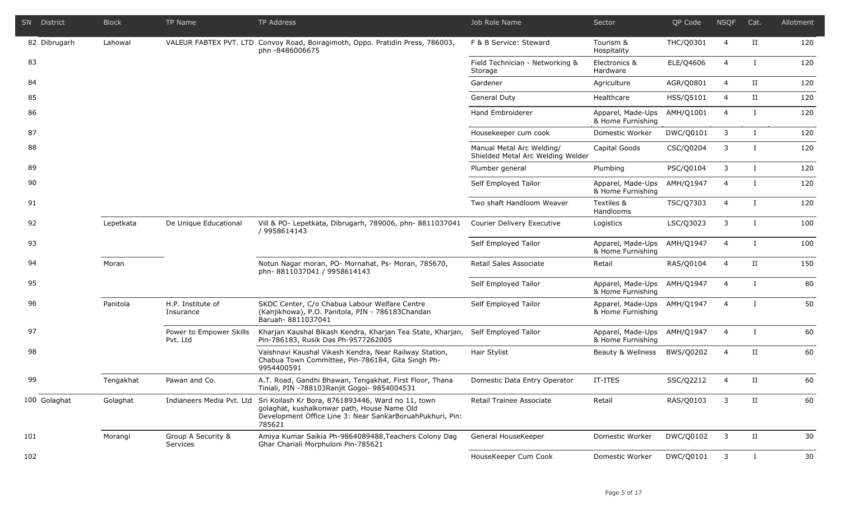| <b>SN</b> District | <b>Block</b> | TP Name                             | TP Address                                                                                                                                                                                        | Job Role Name                                                  | Sector                                           | QP Code   | <b>NSQF</b>    | Cat.        | Allotment |
|--------------------|--------------|-------------------------------------|---------------------------------------------------------------------------------------------------------------------------------------------------------------------------------------------------|----------------------------------------------------------------|--------------------------------------------------|-----------|----------------|-------------|-----------|
| 82 Dibrugarh       | Lahowal      |                                     | VALEUR FABTEX PVT. LTD Convoy Road, Boiragimoth, Oppo. Pratidin Press, 786003,<br>phn -8486006675                                                                                                 | F & B Service: Steward                                         | Tourism &<br>Hospitality                         | THC/Q0301 | $\overline{4}$ | $_{\rm II}$ | 120       |
| 83                 |              |                                     |                                                                                                                                                                                                   | Field Technician - Networking &<br>Storage                     | Electronics &<br>Hardware                        | ELE/Q4606 | $\overline{4}$ | Ι.          | 120       |
| 84                 |              |                                     |                                                                                                                                                                                                   | Gardener                                                       | Agriculture                                      | AGR/Q0801 | 4              | $_{\rm II}$ | 120       |
| 85                 |              |                                     |                                                                                                                                                                                                   | <b>General Duty</b>                                            | Healthcare                                       | HSS/Q5101 | $\overline{4}$ | $_{\rm II}$ | 120       |
| 86                 |              |                                     |                                                                                                                                                                                                   | Hand Embroiderer                                               | Apparel, Made-Ups<br>& Home Furnishing           | AMH/Q1001 | $\overline{4}$ | $\bf{I}$    | 120       |
| 87                 |              |                                     |                                                                                                                                                                                                   | Housekeeper cum cook                                           | Domestic Worker                                  | DWC/Q0101 | 3              | $\bf{I}$    | 120       |
| 88                 |              |                                     |                                                                                                                                                                                                   | Manual Metal Arc Welding/<br>Shielded Metal Arc Welding Welder | Capital Goods                                    | CSC/Q0204 | 3              | Ι.          | 120       |
| 89                 |              |                                     |                                                                                                                                                                                                   | Plumber general                                                | Plumbing                                         | PSC/Q0104 | 3              | $\bf{I}$    | 120       |
| 90                 |              |                                     |                                                                                                                                                                                                   | Self Employed Tailor                                           | Apparel, Made-Ups<br>& Home Furnishing           | AMH/Q1947 | $\overline{4}$ | $\bf{I}$    | 120       |
| 91                 |              |                                     |                                                                                                                                                                                                   | Two shaft Handloom Weaver                                      | Textiles &<br>Handlooms                          | TSC/Q7303 | $\overline{4}$ | $\bf{I}$    | 120       |
| 92                 | Lepetkata    | De Unique Educational               | Vill & PO- Lepetkata, Dibrugarh, 789006, phn- 8811037041<br>/ 9958614143                                                                                                                          | Courier Delivery Executive                                     | Logistics                                        | LSC/Q3023 | 3              | $\bf{I}$    | 100       |
| 93                 |              |                                     |                                                                                                                                                                                                   | Self Employed Tailor                                           | Apparel, Made-Ups<br>& Home Furnishing           | AMH/Q1947 | $\overline{4}$ | $\bf{I}$    | 100       |
| 94                 | Moran        |                                     | Notun Nagar moran, PO- Mornahat, Ps- Moran, 785670,<br>phn-8811037041 / 9958614143                                                                                                                | Retail Sales Associate                                         | Retail                                           | RAS/Q0104 | $\overline{4}$ | $_{\rm II}$ | 150       |
| 95                 |              |                                     |                                                                                                                                                                                                   | Self Employed Tailor                                           | Apparel, Made-Ups<br>& Home Furnishing           | AMH/Q1947 | $\overline{4}$ | $\bf{I}$    | 80        |
| 96                 | Panitola     | H.P. Institute of<br>Insurance      | SKDC Center, C/o Chabua Labour Welfare Centre<br>(Kanjikhowa), P.O. Panitola, PIN - 786183Chandan<br>Baruah- 8811037041                                                                           | Self Employed Tailor                                           | Apparel, Made-Ups AMH/Q1947<br>& Home Furnishing |           | $\overline{4}$ | $\bf{I}$    | 50        |
| 97                 |              | Power to Empower Skills<br>Pvt. Ltd | Kharjan Kaushal Bikash Kendra, Kharjan Tea State, Kharjan,<br>Pin-786183, Rusik Das Ph-9577262005                                                                                                 | Self Employed Tailor                                           | Apparel, Made-Ups AMH/Q1947<br>& Home Furnishing |           | $\overline{4}$ | $\bf{I}$    | 60        |
| 98                 |              |                                     | Vaishnavi Kaushal Vikash Kendra, Near Railway Station,<br>Chabua Town Committee, Pin-786184, Gita Singh Ph-<br>9954400591                                                                         | Hair Stylist                                                   | Beauty & Wellness                                | BWS/Q0202 | $\overline{4}$ | П           | 60        |
| 99                 | Tengakhat    | Pawan and Co.                       | A.T. Road, Gandhi Bhawan, Tengakhat, First Floor, Thana<br>Tiniali, PIN -788103Ranjit Gogoi- 9854004531                                                                                           | Domestic Data Entry Operator                                   | IT-ITES                                          | SSC/Q2212 | $\overline{4}$ | $_{\rm II}$ | 60        |
| 100 Golaghat       | Golaghat     |                                     | Indianeers Media Pvt. Ltd Sri Koilash Kr Bora, 8761893446, Ward no 11, town<br>golaghat, kushalkonwar path, House Name Old<br>Development Office Line 3: Near SankarBoruahPukhuri, Pin:<br>785621 | Retail Trainee Associate                                       | Retail                                           | RAS/Q0103 | 3              | П           | 60        |
| 101                | Morangi      | Group A Security &<br>Services      | Amiya Kumar Saikia Ph-9864089488, Teachers Colony Dag<br>Ghar Chariali Morphuloni Pin-785621                                                                                                      | General HouseKeeper                                            | Domestic Worker                                  | DWC/Q0102 | 3              | $_{\rm II}$ | 30        |
| 102                |              |                                     |                                                                                                                                                                                                   | HouseKeeper Cum Cook                                           | Domestic Worker                                  | DWC/Q0101 | 3              | $\bf{I}$    | 30        |

I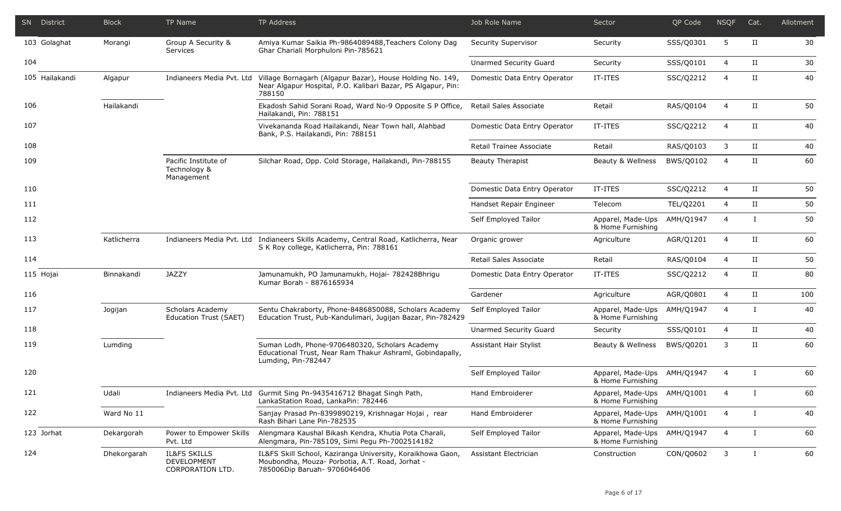|     | SN District    | <b>Block</b> | TP Name                                                           | <b>TP Address</b>                                                                                                                             | Job Role Name                 | Sector                                 | QP Code   | <b>NSQF</b>    | Cat.         | Allotment |
|-----|----------------|--------------|-------------------------------------------------------------------|-----------------------------------------------------------------------------------------------------------------------------------------------|-------------------------------|----------------------------------------|-----------|----------------|--------------|-----------|
|     | 103 Golaghat   | Morangi      | Group A Security &<br>Services                                    | Amiya Kumar Saikia Ph-9864089488, Teachers Colony Dag<br>Ghar Chariali Morphuloni Pin-785621                                                  | Security Supervisor           | Security                               | SSS/Q0301 | 5              | $_{\rm II}$  | 30        |
| 104 |                |              |                                                                   |                                                                                                                                               | <b>Unarmed Security Guard</b> | Security                               | SSS/Q0101 | $\overline{4}$ | $_{\rm II}$  | 30        |
|     | 105 Hailakandi | Algapur      | Indianeers Media Pvt. Ltd                                         | Village Bornagarh (Algapur Bazar), House Holding No. 149,<br>Near Algapur Hospital, P.O. Kalibari Bazar, PS Algapur, Pin:<br>788150           | Domestic Data Entry Operator  | IT-ITES                                | SSC/Q2212 | 4              | $_{\rm II}$  | 40        |
| 106 |                | Hailakandi   |                                                                   | Ekadosh Sahid Sorani Road, Ward No-9 Opposite S P Office,<br>Hailakandi, Pin: 788151                                                          | Retail Sales Associate        | Retail                                 | RAS/Q0104 | $\overline{4}$ | $_{\rm II}$  | 50        |
| 107 |                |              |                                                                   | Vivekananda Road Hailakandi, Near Town hall, Alahbad<br>Bank, P.S. Hailakandi, Pin: 788151                                                    | Domestic Data Entry Operator  | IT-ITES                                | SSC/Q2212 | $\overline{4}$ | $_{\rm II}$  | 40        |
| 108 |                |              |                                                                   |                                                                                                                                               | Retail Trainee Associate      | Retail                                 | RAS/Q0103 | 3              | $_{\rm II}$  | 40        |
| 109 |                |              | Pacific Institute of<br>Technology &<br>Management                | Silchar Road, Opp. Cold Storage, Hailakandi, Pin-788155                                                                                       | <b>Beauty Therapist</b>       | Beauty & Wellness                      | BWS/Q0102 | $\overline{4}$ | $_{\rm II}$  | 60        |
| 110 |                |              |                                                                   |                                                                                                                                               | Domestic Data Entry Operator  | IT-ITES                                | SSC/Q2212 | $\overline{4}$ | $_{\rm II}$  | 50        |
| 111 |                |              |                                                                   |                                                                                                                                               | Handset Repair Engineer       | Telecom                                | TEL/Q2201 | 4              | $_{\rm II}$  | 50        |
| 112 |                |              |                                                                   |                                                                                                                                               | Self Employed Tailor          | Apparel, Made-Ups<br>& Home Furnishing | AMH/Q1947 | $\overline{4}$ | Ι.           | 50        |
| 113 |                | Katlicherra  |                                                                   | Indianeers Media Pvt. Ltd Indianeers Skills Academy, Central Road, Katlicherra, Near<br>S K Roy college, Katlicherra, Pin: 788161             | Organic grower                | Agriculture                            | AGR/Q1201 | $\overline{4}$ | $_{\rm II}$  | 60        |
| 114 |                |              |                                                                   |                                                                                                                                               | Retail Sales Associate        | Retail                                 | RAS/Q0104 | $\overline{4}$ | $_{\rm II}$  | 50        |
|     | 115 Hojai      | Binnakandi   | <b>JAZZY</b>                                                      | Jamunamukh, PO Jamunamukh, Hojai- 782428Bhrigu<br>Kumar Borah - 8876165934                                                                    | Domestic Data Entry Operator  | IT-ITES                                | SSC/Q2212 | 4              | $_{\rm II}$  | 80        |
| 116 |                |              |                                                                   |                                                                                                                                               | Gardener                      | Agriculture                            | AGR/Q0801 | $\overline{4}$ | $_{\rm II}$  | 100       |
| 117 |                | Jogijan      | Scholars Academy<br>Education Trust (SAET)                        | Sentu Chakraborty, Phone-8486850088, Scholars Academy<br>Education Trust, Pub-Kandulimari, Jugijan Bazar, Pin-782429                          | Self Employed Tailor          | Apparel, Made-Ups<br>& Home Furnishing | AMH/Q1947 | $\overline{4}$ | Ι.           | 40        |
| 118 |                |              |                                                                   |                                                                                                                                               | Unarmed Security Guard        | Security                               | SSS/Q0101 | 4              | $_{\rm II}$  | 40        |
| 119 |                | Lumding      |                                                                   | Suman Lodh, Phone-9706480320, Scholars Academy<br>Educational Trust, Near Ram Thakur Ashraml, Gobindapally,<br>Lumding, Pin-782447            | Assistant Hair Stylist        | Beauty & Wellness                      | BWS/Q0201 | 3              | $_{\rm II}$  | 60        |
| 120 |                |              |                                                                   |                                                                                                                                               | Self Employed Tailor          | Apparel, Made-Ups<br>& Home Furnishing | AMH/Q1947 | 4              | $\mathbf{I}$ | 60        |
| 121 |                | Udali        |                                                                   | Indianeers Media Pvt. Ltd Gurmit Sing Pn-9435416712 Bhagat Singh Path,<br>LankaStation Road, LankaPin: 782446                                 | Hand Embroiderer              | Apparel, Made-Ups<br>& Home Furnishing | AMH/Q1001 | 4              |              | 60        |
| 122 |                | Ward No 11   |                                                                   | Sanjay Prasad Pn-8399890219, Krishnagar Hojai, rear<br>Rash Bihari Lane Pin-782535                                                            | Hand Embroiderer              | Apparel, Made-Ups<br>& Home Furnishing | AMH/Q1001 | 4              | Ι.           | 40        |
|     | 123 Jorhat     | Dekargorah   | Power to Empower Skills<br>Pvt. Ltd                               | Alengmara Kaushal Bikash Kendra, Khutia Pota Charali,<br>Alengmara, Pin-785109, Simi Pegu Ph-7002514182                                       | Self Employed Tailor          | Apparel, Made-Ups<br>& Home Furnishing | AMH/Q1947 | $\overline{4}$ | Ι.           | 60        |
| 124 |                | Dhekorgarah  | <b>IL&amp;FS SKILLS</b><br><b>DEVELOPMENT</b><br>CORPORATION LTD. | IL&FS Skill School, Kaziranga University, Koraikhowa Gaon,<br>Moubondha, Mouza- Porbotia, A.T. Road, Jorhat -<br>785006Dip Baruah- 9706046406 | Assistant Electrician         | Construction                           | CON/Q0602 | $\mathbf{3}$   | Ι.           | 60        |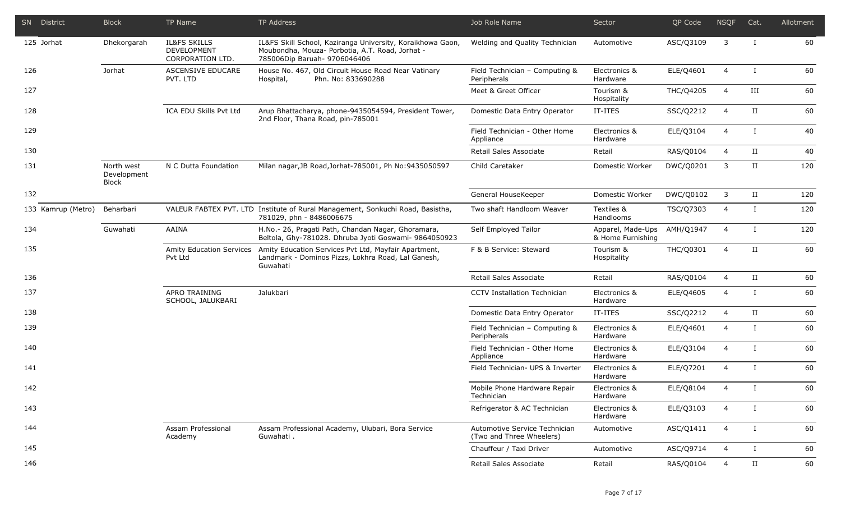|     | SN District        | <b>Block</b>                              | TP Name                                                    | <b>TP Address</b>                                                                                                                             | Job Role Name                                             | Sector                                 | QP Code   | <b>NSQF</b>    | Cat.                 | Allotment |
|-----|--------------------|-------------------------------------------|------------------------------------------------------------|-----------------------------------------------------------------------------------------------------------------------------------------------|-----------------------------------------------------------|----------------------------------------|-----------|----------------|----------------------|-----------|
|     | 125 Jorhat         | Dhekorgarah                               | <b>IL&amp;FS SKILLS</b><br>DEVELOPMENT<br>CORPORATION LTD. | IL&FS Skill School, Kaziranga University, Koraikhowa Gaon,<br>Moubondha, Mouza- Porbotia, A.T. Road, Jorhat -<br>785006Dip Baruah- 9706046406 | Welding and Quality Technician                            | Automotive                             | ASC/Q3109 | 3              | Ι.                   | 60        |
| 126 |                    | Jorhat                                    | ASCENSIVE EDUCARE<br>PVT. LTD                              | House No. 467, Old Circuit House Road Near Vatinary<br>Phn. No: 833690288<br>Hospital,                                                        | Field Technician - Computing &<br>Peripherals             | Electronics &<br>Hardware              | ELE/Q4601 | $\overline{4}$ | $\mathbf{I}$         | 60        |
| 127 |                    |                                           |                                                            |                                                                                                                                               | Meet & Greet Officer                                      | Tourism &<br>Hospitality               | THC/Q4205 | $\overline{4}$ | III                  | 60        |
| 128 |                    |                                           | ICA EDU Skills Pvt Ltd                                     | Arup Bhattacharya, phone-9435054594, President Tower,<br>2nd Floor, Thana Road, pin-785001                                                    | Domestic Data Entry Operator                              | IT-ITES                                | SSC/Q2212 | $\overline{4}$ | $_{\rm II}$          | 60        |
| 129 |                    |                                           |                                                            |                                                                                                                                               | Field Technician - Other Home<br>Appliance                | Electronics &<br>Hardware              | ELE/Q3104 | $\overline{4}$ | $\mathbf{I}$         | 40        |
| 130 |                    |                                           |                                                            |                                                                                                                                               | Retail Sales Associate                                    | Retail                                 | RAS/Q0104 | 4              | $_{\rm II}$          | 40        |
| 131 |                    | North west<br>Development<br><b>Block</b> | N C Dutta Foundation                                       | Milan nagar, JB Road, Jorhat-785001, Ph No: 9435050597                                                                                        | Child Caretaker                                           | Domestic Worker                        | DWC/Q0201 | 3              | $_{\rm II}$          | 120       |
| 132 |                    |                                           |                                                            |                                                                                                                                               | General HouseKeeper                                       | Domestic Worker                        | DWC/Q0102 | 3              | $_{\rm II}$          | 120       |
|     | 133 Kamrup (Metro) | Beharbari                                 |                                                            | VALEUR FABTEX PVT. LTD Institute of Rural Management, Sonkuchi Road, Basistha,<br>781029, phn - 8486006675                                    | Two shaft Handloom Weaver                                 | Textiles &<br>Handlooms                | TSC/Q7303 | 4              | $\mathbf I$          | 120       |
| 134 |                    | Guwahati                                  | AAINA                                                      | H.No.- 26, Pragati Path, Chandan Nagar, Ghoramara,<br>Beltola, Ghy-781028. Dhruba Jyoti Goswami- 9864050923                                   | Self Employed Tailor                                      | Apparel, Made-Ups<br>& Home Furnishing | AMH/Q1947 | $\overline{4}$ | $\mathbf I$          | 120       |
| 135 |                    |                                           | Amity Education Services<br>Pvt Ltd                        | Amity Education Services Pvt Ltd, Mayfair Apartment,<br>Landmark - Dominos Pizzs, Lokhra Road, Lal Ganesh,<br>Guwahati                        | F & B Service: Steward                                    | Tourism &<br>Hospitality               | THC/Q0301 | $\overline{4}$ | $_{\rm II}$          | 60        |
| 136 |                    |                                           |                                                            |                                                                                                                                               | Retail Sales Associate                                    | Retail                                 | RAS/Q0104 | 4              | $_{\rm II}$          | 60        |
| 137 |                    |                                           | APRO TRAINING<br>SCHOOL, JALUKBARI                         | Jalukbari                                                                                                                                     | <b>CCTV Installation Technician</b>                       | Electronics &<br>Hardware              | ELE/Q4605 | $\overline{4}$ | $\bf{I}$             | 60        |
| 138 |                    |                                           |                                                            |                                                                                                                                               | Domestic Data Entry Operator                              | IT-ITES                                | SSC/Q2212 | 4              | $\scriptstyle\rm II$ | 60        |
| 139 |                    |                                           |                                                            |                                                                                                                                               | Field Technician - Computing &<br>Peripherals             | Electronics &<br>Hardware              | ELE/Q4601 | $\overline{4}$ | $\bf{I}$             | 60        |
| 140 |                    |                                           |                                                            |                                                                                                                                               | Field Technician - Other Home<br>Appliance                | Electronics &<br>Hardware              | ELE/Q3104 | $\overline{4}$ | Ι.                   | 60        |
| 141 |                    |                                           |                                                            |                                                                                                                                               | Field Technician- UPS & Inverter                          | Electronics &<br>Hardware              | ELE/Q7201 | $\overline{4}$ | $\bf{I}$             | 60        |
| 142 |                    |                                           |                                                            |                                                                                                                                               | Mobile Phone Hardware Repair<br>Technician                | Electronics &<br>Hardware              | ELE/Q8104 | 4              |                      | 60        |
| 143 |                    |                                           |                                                            |                                                                                                                                               | Refrigerator & AC Technician                              | Electronics &<br>Hardware              | ELE/Q3103 | 4              | I                    | 60        |
| 144 |                    |                                           | Assam Professional<br>Academy                              | Assam Professional Academy, Ulubari, Bora Service<br>Guwahati.                                                                                | Automotive Service Technician<br>(Two and Three Wheelers) | Automotive                             | ASC/Q1411 | 4              | $\bf{I}$             | 60        |
| 145 |                    |                                           |                                                            |                                                                                                                                               | Chauffeur / Taxi Driver                                   | Automotive                             | ASC/Q9714 | 4              | $\mathbf{I}$         | 60        |
| 146 |                    |                                           |                                                            |                                                                                                                                               | Retail Sales Associate                                    | Retail                                 | RAS/Q0104 | 4              | II                   | 60        |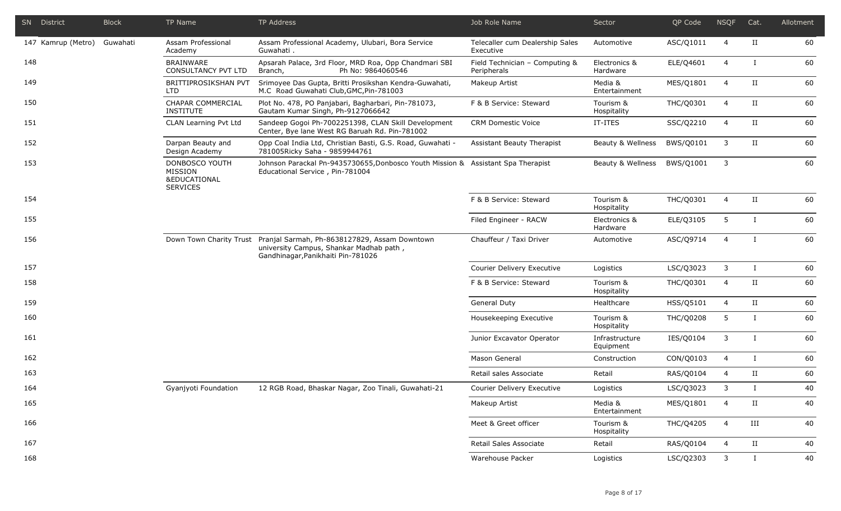|     | SN District        | <b>Block</b> | TP Name                                                                 | TP Address                                                                                                                                             | Job Role Name                                 | Sector                      | QP Code          | <b>NSQF</b>    | Cat.                 | Allotment |
|-----|--------------------|--------------|-------------------------------------------------------------------------|--------------------------------------------------------------------------------------------------------------------------------------------------------|-----------------------------------------------|-----------------------------|------------------|----------------|----------------------|-----------|
|     | 147 Kamrup (Metro) | Guwahati     | Assam Professional<br>Academy                                           | Assam Professional Academy, Ulubari, Bora Service<br>Guwahati.                                                                                         | Telecaller cum Dealership Sales<br>Executive  | Automotive                  | ASC/Q1011        | $\overline{4}$ | $\scriptstyle\rm II$ | 60        |
| 148 |                    |              | <b>BRAINWARE</b><br><b>CONSULTANCY PVT LTD</b>                          | Apsarah Palace, 3rd Floor, MRD Roa, Opp Chandmari SBI<br>Branch,<br>Ph No: 9864060546                                                                  | Field Technician - Computing &<br>Peripherals | Electronics &<br>Hardware   | ELE/Q4601        | $\overline{4}$ | Ι.                   | 60        |
| 149 |                    |              | BRITTIPROSIKSHAN PVT<br>LTD.                                            | Srimoyee Das Gupta, Britti Prosikshan Kendra-Guwahati,<br>M.C Road Guwahati Club, GMC, Pin-781003                                                      | Makeup Artist                                 | Media &<br>Entertainment    | MES/Q1801        | $\overline{4}$ | $\scriptstyle\rm II$ | 60        |
| 150 |                    |              | CHAPAR COMMERCIAL<br><b>INSTITUTE</b>                                   | Plot No. 478, PO Panjabari, Bagharbari, Pin-781073,<br>Gautam Kumar Singh, Ph-9127066642                                                               | F & B Service: Steward                        | Tourism &<br>Hospitality    | THC/Q0301        | 4              | $\scriptstyle\rm II$ | 60        |
| 151 |                    |              | CLAN Learning Pvt Ltd                                                   | Sandeep Gogoi Ph-7002251398, CLAN Skill Development<br>Center, Bye lane West RG Baruah Rd. Pin-781002                                                  | <b>CRM Domestic Voice</b>                     | IT-ITES                     | SSC/Q2210        | $\overline{4}$ | $_{\rm II}$          | 60        |
| 152 |                    |              | Darpan Beauty and<br>Design Academy                                     | Opp Coal India Ltd, Christian Basti, G.S. Road, Guwahati -<br>781005Ricky Saha - 9859944761                                                            | Assistant Beauty Therapist                    | Beauty & Wellness           | BWS/Q0101        | 3              | $\scriptstyle\rm II$ | 60        |
| 153 |                    |              | DONBOSCO YOUTH<br>MISSION<br><b>&amp;EDUCATIONAL</b><br><b>SERVICES</b> | Johnson Parackal Pn-9435730655, Donbosco Youth Mission & Assistant Spa Therapist<br>Educational Service, Pin-781004                                    |                                               | Beauty & Wellness           | BWS/Q1001        | 3              |                      | 60        |
| 154 |                    |              |                                                                         |                                                                                                                                                        | F & B Service: Steward                        | Tourism &<br>Hospitality    | THC/Q0301        | $\overline{4}$ | $_{\rm II}$          | 60        |
| 155 |                    |              |                                                                         |                                                                                                                                                        | Filed Engineer - RACW                         | Electronics &<br>Hardware   | ELE/Q3105        | 5              | $\mathbf I$          | 60        |
| 156 |                    |              |                                                                         | Down Town Charity Trust Pranjal Sarmah, Ph-8638127829, Assam Downtown<br>university Campus, Shankar Madhab path,<br>Gandhinagar, Panikhaiti Pin-781026 | Chauffeur / Taxi Driver                       | Automotive                  | ASC/Q9714        | $\overline{4}$ | $\mathbf I$          | 60        |
| 157 |                    |              |                                                                         |                                                                                                                                                        | Courier Delivery Executive                    | Logistics                   | LSC/Q3023        | 3              | $\bf{I}$             | 60        |
| 158 |                    |              |                                                                         |                                                                                                                                                        | F & B Service: Steward                        | Tourism &<br>Hospitality    | THC/Q0301        | $\overline{4}$ | $_{\rm II}$          | 60        |
| 159 |                    |              |                                                                         |                                                                                                                                                        | <b>General Duty</b>                           | Healthcare                  | HSS/Q5101        | 4              | $_{\rm II}$          | 60        |
| 160 |                    |              |                                                                         |                                                                                                                                                        | Housekeeping Executive                        | Tourism &<br>Hospitality    | <b>THC/Q0208</b> | 5              | $\bf{I}$             | 60        |
| 161 |                    |              |                                                                         |                                                                                                                                                        | Junior Excavator Operator                     | Infrastructure<br>Equipment | IES/Q0104        | 3              | Ι                    | 60        |
| 162 |                    |              |                                                                         |                                                                                                                                                        | Mason General                                 | Construction                | CON/Q0103        | $\overline{4}$ | $\bf{I}$             | 60        |
| 163 |                    |              |                                                                         |                                                                                                                                                        | Retail sales Associate                        | Retail                      | RAS/Q0104        | $\overline{4}$ | $_{\rm II}$          | 60        |
| 164 |                    |              | Gyanjyoti Foundation                                                    | 12 RGB Road, Bhaskar Nagar, Zoo Tinali, Guwahati-21                                                                                                    | Courier Delivery Executive                    | Logistics                   | LSC/Q3023        | 3              | П                    | 40        |
| 165 |                    |              |                                                                         |                                                                                                                                                        | Makeup Artist                                 | Media &<br>Entertainment    | MES/Q1801        | $\overline{4}$ | $_{\rm II}$          | 40        |
| 166 |                    |              |                                                                         |                                                                                                                                                        | Meet & Greet officer                          | Tourism &<br>Hospitality    | THC/Q4205        | $\overline{4}$ | $\rm III$            | 40        |
| 167 |                    |              |                                                                         |                                                                                                                                                        | Retail Sales Associate                        | Retail                      | RAS/Q0104        | 4              | $_{\rm II}$          | 40        |
| 168 |                    |              |                                                                         |                                                                                                                                                        | Warehouse Packer                              | Logistics                   | LSC/Q2303        | 3              | $\mathbf{I}$         | 40        |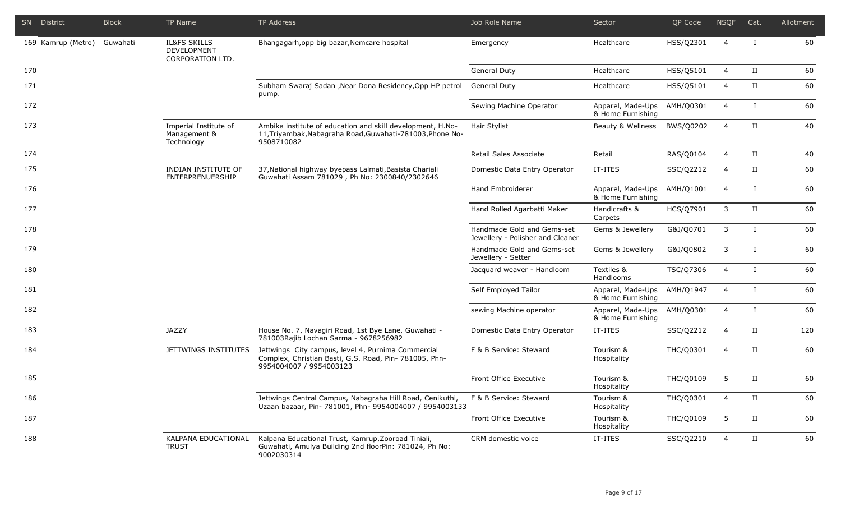| SN District        | <b>Block</b> | TP Name                                                    | TP Address                                                                                                                              | Job Role Name                                                  | Sector                                 | QP Code   | <b>NSQF</b>    | Cat.                 | Allotment |
|--------------------|--------------|------------------------------------------------------------|-----------------------------------------------------------------------------------------------------------------------------------------|----------------------------------------------------------------|----------------------------------------|-----------|----------------|----------------------|-----------|
| 169 Kamrup (Metro) | Guwahati     | <b>IL&amp;FS SKILLS</b><br>DEVELOPMENT<br>CORPORATION LTD. | Bhangagarh, opp big bazar, Nemcare hospital                                                                                             | Emergency                                                      | Healthcare                             | HSS/Q2301 | $\overline{4}$ | $\bf{I}$             | 60        |
| 170                |              |                                                            |                                                                                                                                         | <b>General Duty</b>                                            | Healthcare                             | HSS/Q5101 | 4              | $_{\rm II}$          | 60        |
| 171                |              |                                                            | Subham Swaraj Sadan , Near Dona Residency, Opp HP petrol<br>pump.                                                                       | <b>General Duty</b>                                            | Healthcare                             | HSS/Q5101 | $\overline{4}$ | $_{\rm II}$          | 60        |
| 172                |              |                                                            |                                                                                                                                         | Sewing Machine Operator                                        | Apparel, Made-Ups<br>& Home Furnishing | AMH/Q0301 | $\overline{4}$ | $\bf{I}$             | 60        |
| 173                |              | Imperial Institute of<br>Management &<br>Technology        | Ambika institute of education and skill development, H.No-<br>11, Triyambak, Nabagraha Road, Guwahati-781003, Phone No-<br>9508710082   | Hair Stylist                                                   | Beauty & Wellness                      | BWS/Q0202 | $\overline{4}$ | $\rm II$             | 40        |
| 174                |              |                                                            |                                                                                                                                         | Retail Sales Associate                                         | Retail                                 | RAS/Q0104 | 4              | $\rm II$             | 40        |
| 175                |              | INDIAN INSTITUTE OF<br>ENTERPRENUERSHIP                    | 37, National highway byepass Lalmati, Basista Chariali<br>Guwahati Assam 781029, Ph No: 2300840/2302646                                 | Domestic Data Entry Operator                                   | IT-ITES                                | SSC/Q2212 | 4              | $_{\rm II}$          | 60        |
| 176                |              |                                                            |                                                                                                                                         | Hand Embroiderer                                               | Apparel, Made-Ups<br>& Home Furnishing | AMH/Q1001 | $\overline{4}$ | $\bf{I}$             | 60        |
| 177                |              |                                                            |                                                                                                                                         | Hand Rolled Agarbatti Maker                                    | Handicrafts &<br>Carpets               | HCS/Q7901 | 3              | $_{\rm II}$          | 60        |
| 178                |              |                                                            |                                                                                                                                         | Handmade Gold and Gems-set<br>Jewellery - Polisher and Cleaner | Gems & Jewellery                       | G&J/Q0701 | 3              | $\bf{I}$             | 60        |
| 179                |              |                                                            |                                                                                                                                         | Handmade Gold and Gems-set<br>Jewellery - Setter               | Gems & Jewellery                       | G&J/Q0802 | 3              | $\mathbf I$          | 60        |
| 180                |              |                                                            |                                                                                                                                         | Jacquard weaver - Handloom                                     | Textiles &<br>Handlooms                | TSC/Q7306 | $\overline{4}$ | $\mathbf I$          | 60        |
| 181                |              |                                                            |                                                                                                                                         | Self Employed Tailor                                           | Apparel, Made-Ups<br>& Home Furnishing | AMH/Q1947 | $\overline{4}$ | $\mathbf I$          | 60        |
| 182                |              |                                                            |                                                                                                                                         | sewing Machine operator                                        | Apparel, Made-Ups<br>& Home Furnishing | AMH/Q0301 | 4              | $\mathbf I$          | 60        |
| 183                |              | <b>JAZZY</b>                                               | House No. 7, Navagiri Road, 1st Bye Lane, Guwahati -<br>781003Rajib Lochan Sarma - 9678256982                                           | Domestic Data Entry Operator                                   | IT-ITES                                | SSC/Q2212 | 4              | $_{\rm II}$          | 120       |
| 184                |              | JETTWINGS INSTITUTES                                       | Jettwings City campus, level 4, Purnima Commercial<br>Complex, Christian Basti, G.S. Road, Pin- 781005, Phn-<br>9954004007 / 9954003123 | F & B Service: Steward                                         | Tourism &<br>Hospitality               | THC/Q0301 | $\overline{4}$ | $_{\rm II}$          | 60        |
| 185                |              |                                                            |                                                                                                                                         | Front Office Executive                                         | Tourism &<br>Hospitality               | THC/Q0109 | 5              | $_{\rm II}$          | 60        |
| 186                |              |                                                            | Jettwings Central Campus, Nabagraha Hill Road, Cenikuthi,<br>Uzaan bazaar, Pin- 781001, Phn- 9954004007 / 9954003133                    | F & B Service: Steward                                         | Tourism &<br>Hospitality               | THC/Q0301 | $\overline{4}$ | $\rm II$             | 60        |
| 187                |              |                                                            |                                                                                                                                         | Front Office Executive                                         | Tourism &<br>Hospitality               | THC/Q0109 | 5              | $\scriptstyle\rm II$ | 60        |
| 188                |              | KALPANA EDUCATIONAL<br><b>TRUST</b>                        | Kalpana Educational Trust, Kamrup, Zooroad Tiniali,<br>Guwahati, Amulya Building 2nd floorPin: 781024, Ph No:<br>9002030314             | CRM domestic voice                                             | IT-ITES                                | SSC/Q2210 | 4              | $_{\rm II}$          | 60        |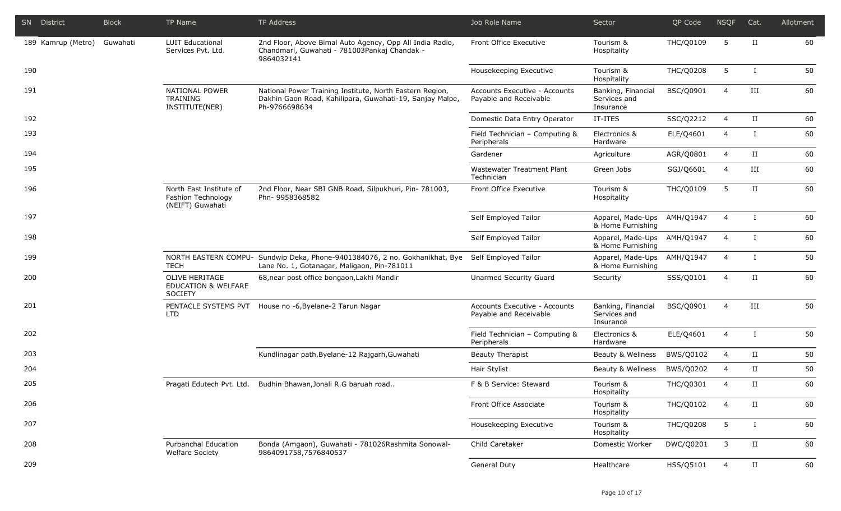|     | SN District        | <b>Block</b> | TP Name                                                           | TP Address                                                                                                                            | Job Role Name                                           | Sector                                          | QP Code          | <b>NSQF</b>    | Cat.                 | Allotment |
|-----|--------------------|--------------|-------------------------------------------------------------------|---------------------------------------------------------------------------------------------------------------------------------------|---------------------------------------------------------|-------------------------------------------------|------------------|----------------|----------------------|-----------|
|     | 189 Kamrup (Metro) | Guwahati     | <b>LUIT Educational</b><br>Services Pvt. Ltd.                     | 2nd Floor, Above Bimal Auto Agency, Opp All India Radio,<br>Chandmari, Guwahati - 781003Pankaj Chandak -<br>9864032141                | Front Office Executive                                  | Tourism &<br>Hospitality                        | THC/Q0109        | 5              | $_{\rm II}$          | 60        |
| 190 |                    |              |                                                                   |                                                                                                                                       | Housekeeping Executive                                  | Tourism &<br>Hospitality                        | <b>THC/Q0208</b> | 5              | $\mathbf{I}$         | 50        |
| 191 |                    |              | <b>NATIONAL POWER</b><br>TRAINING<br>INSTITUTE(NER)               | National Power Training Institute, North Eastern Region,<br>Dakhin Gaon Road, Kahilipara, Guwahati-19, Sanjay Malpe,<br>Ph-9766698634 | Accounts Executive - Accounts<br>Payable and Receivable | Banking, Financial<br>Services and<br>Insurance | BSC/Q0901        | $\overline{4}$ | $\rm III$            | 60        |
| 192 |                    |              |                                                                   |                                                                                                                                       | Domestic Data Entry Operator                            | IT-ITES                                         | SSC/Q2212        | $\overline{4}$ | $\scriptstyle\rm II$ | 60        |
| 193 |                    |              |                                                                   |                                                                                                                                       | Field Technician - Computing &<br>Peripherals           | Electronics &<br>Hardware                       | ELE/Q4601        | $\overline{4}$ |                      | 60        |
| 194 |                    |              |                                                                   |                                                                                                                                       | Gardener                                                | Agriculture                                     | AGR/Q0801        | $\overline{4}$ | $_{\rm II}$          | 60        |
| 195 |                    |              |                                                                   |                                                                                                                                       | Wastewater Treatment Plant<br>Technician                | Green Jobs                                      | SGJ/Q6601        | $\overline{4}$ | III                  | 60        |
| 196 |                    |              | North East Institute of<br>Fashion Technology<br>(NEIFT) Guwahati | 2nd Floor, Near SBI GNB Road, Silpukhuri, Pin- 781003,<br>Phn- 9958368582                                                             | Front Office Executive                                  | Tourism &<br>Hospitality                        | THC/Q0109        | 5              | $_{\rm II}$          | 60        |
| 197 |                    |              |                                                                   |                                                                                                                                       | Self Employed Tailor                                    | Apparel, Made-Ups<br>& Home Furnishing          | AMH/Q1947        | $\overline{4}$ |                      | 60        |
| 198 |                    |              |                                                                   |                                                                                                                                       | Self Employed Tailor                                    | Apparel, Made-Ups<br>& Home Furnishing          | AMH/Q1947        | $\overline{4}$ |                      | 60        |
| 199 |                    |              | <b>TECH</b>                                                       | NORTH EASTERN COMPU- Sundwip Deka, Phone-9401384076, 2 no. Gokhanikhat, Bye<br>Lane No. 1, Gotanagar, Maligaon, Pin-781011            | Self Employed Tailor                                    | Apparel, Made-Ups<br>& Home Furnishing          | AMH/Q1947        | $\overline{4}$ |                      | 50        |
| 200 |                    |              | OLIVE HERITAGE<br><b>EDUCATION &amp; WELFARE</b><br>SOCIETY       | 68, near post office bongaon, Lakhi Mandir                                                                                            | Unarmed Security Guard                                  | Security                                        | SSS/Q0101        | $\overline{4}$ | $_{\rm II}$          | 60        |
| 201 |                    |              | LTD                                                               | PENTACLE SYSTEMS PVT House no -6, Byelane-2 Tarun Nagar                                                                               | Accounts Executive - Accounts<br>Payable and Receivable | Banking, Financial<br>Services and<br>Insurance | BSC/Q0901        | $\overline{4}$ | $\rm III$            | 50        |
| 202 |                    |              |                                                                   |                                                                                                                                       | Field Technician - Computing &<br>Peripherals           | Electronics &<br>Hardware                       | ELE/Q4601        | $\overline{4}$ | $\mathbf{I}$         | 50        |
| 203 |                    |              |                                                                   | Kundlinagar path, Byelane-12 Rajgarh, Guwahati                                                                                        | <b>Beauty Therapist</b>                                 | Beauty & Wellness                               | BWS/Q0102        | 4              | $\scriptstyle\rm II$ | 50        |
| 204 |                    |              |                                                                   |                                                                                                                                       | Hair Stylist                                            | Beauty & Wellness                               | BWS/Q0202        | $\overline{4}$ | $_{\rm II}$          | 50        |
| 205 |                    |              | Pragati Edutech Pvt. Ltd.                                         | Budhin Bhawan, Jonali R.G baruah road                                                                                                 | F & B Service: Steward                                  | Tourism &<br>Hospitality                        | THC/Q0301        | $\overline{4}$ | П                    | 60        |
| 206 |                    |              |                                                                   |                                                                                                                                       | Front Office Associate                                  | Tourism &<br>Hospitality                        | THC/Q0102        | 4              | $\scriptstyle\rm II$ | 60        |
| 207 |                    |              |                                                                   |                                                                                                                                       | Housekeeping Executive                                  | Tourism &<br>Hospitality                        | <b>THC/Q0208</b> | 5              | $\bf{I}$             | 60        |
| 208 |                    |              | Purbanchal Education<br><b>Welfare Society</b>                    | Bonda (Amgaon), Guwahati - 781026Rashmita Sonowal-<br>9864091758,7576840537                                                           | Child Caretaker                                         | Domestic Worker                                 | DWC/Q0201        | 3              | $\rm II$             | 60        |
| 209 |                    |              |                                                                   |                                                                                                                                       | <b>General Duty</b>                                     | Healthcare                                      | HSS/Q5101        | $\overline{4}$ | $\rm II$             | 60        |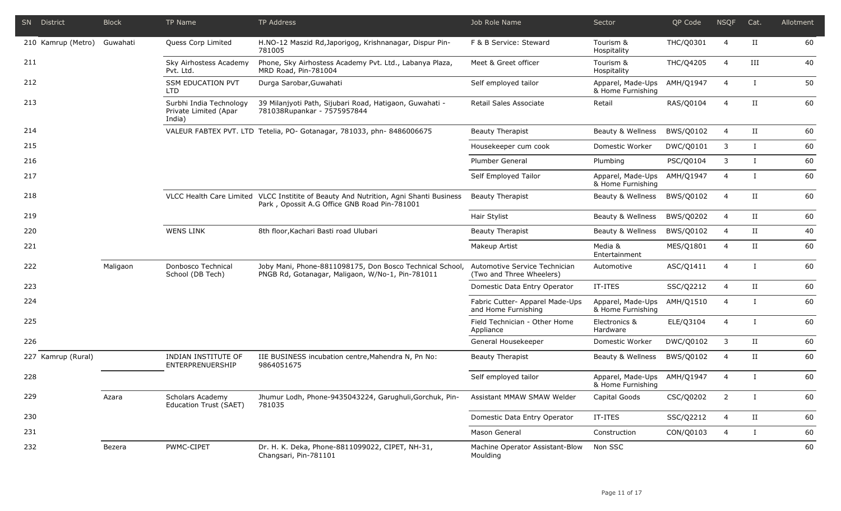| SN District |                    | <b>Block</b> | TP Name                                                    | TP Address                                                                                                                            | Job Role Name                                             | Sector                                 | QP Code   | <b>NSQF</b>    | Cat.         | Allotment |
|-------------|--------------------|--------------|------------------------------------------------------------|---------------------------------------------------------------------------------------------------------------------------------------|-----------------------------------------------------------|----------------------------------------|-----------|----------------|--------------|-----------|
|             | 210 Kamrup (Metro) | Guwahati     | Quess Corp Limited                                         | H.NO-12 Maszid Rd, Japorigog, Krishnanagar, Dispur Pin-<br>781005                                                                     | F & B Service: Steward                                    | Tourism &<br>Hospitality               | THC/Q0301 | 4              | $_{\rm II}$  | 60        |
| 211         |                    |              | Sky Airhostess Academy<br>Pvt. Ltd.                        | Phone, Sky Airhostess Academy Pvt. Ltd., Labanya Plaza,<br>MRD Road, Pin-781004                                                       | Meet & Greet officer                                      | Tourism &<br>Hospitality               | THC/Q4205 | $\overline{4}$ | III          | 40        |
| 212         |                    |              | <b>SSM EDUCATION PVT</b><br><b>LTD</b>                     | Durga Sarobar, Guwahati                                                                                                               | Self employed tailor                                      | Apparel, Made-Ups<br>& Home Furnishing | AMH/Q1947 | $\overline{4}$ | $\bf{I}$     | 50        |
| 213         |                    |              | Surbhi India Technology<br>Private Limited (Apar<br>India) | 39 Milanjyoti Path, Sijubari Road, Hatigaon, Guwahati -<br>781038Rupankar - 7575957844                                                | Retail Sales Associate                                    | Retail                                 | RAS/Q0104 | $\overline{4}$ | П            | 60        |
| 214         |                    |              |                                                            | VALEUR FABTEX PVT. LTD Tetelia, PO- Gotanagar, 781033, phn-8486006675                                                                 | <b>Beauty Therapist</b>                                   | Beauty & Wellness                      | BWS/Q0102 | $\overline{4}$ | $_{\rm II}$  | 60        |
| 215         |                    |              |                                                            |                                                                                                                                       | Housekeeper cum cook                                      | Domestic Worker                        | DWC/Q0101 | 3              | L            | 60        |
| 216         |                    |              |                                                            |                                                                                                                                       | Plumber General                                           | Plumbing                               | PSC/Q0104 | 3              | L            | 60        |
| 217         |                    |              |                                                            |                                                                                                                                       | Self Employed Tailor                                      | Apparel, Made-Ups<br>& Home Furnishing | AMH/Q1947 | $\overline{4}$ | $\mathbf{I}$ | 60        |
| 218         |                    |              |                                                            | VLCC Health Care Limited VLCC Institite of Beauty And Nutrition, Agni Shanti Business<br>Park, Opossit A.G Office GNB Road Pin-781001 | Beauty Therapist                                          | Beauty & Wellness                      | BWS/Q0102 | $\overline{4}$ | $_{\rm II}$  | 60        |
| 219         |                    |              |                                                            |                                                                                                                                       | Hair Stylist                                              | Beauty & Wellness                      | BWS/Q0202 | 4              | $_{\rm II}$  | 60        |
| 220         |                    |              | <b>WENS LINK</b>                                           | 8th floor, Kachari Basti road Ulubari                                                                                                 | <b>Beauty Therapist</b>                                   | Beauty & Wellness                      | BWS/Q0102 | $\overline{4}$ | $_{\rm II}$  | 40        |
| 221         |                    |              |                                                            |                                                                                                                                       | Makeup Artist                                             | Media &<br>Entertainment               | MES/Q1801 | 4              | $_{\rm II}$  | 60        |
| 222         |                    | Maligaon     | Donbosco Technical<br>School (DB Tech)                     | Joby Mani, Phone-8811098175, Don Bosco Technical School,<br>PNGB Rd, Gotanagar, Maligaon, W/No-1, Pin-781011                          | Automotive Service Technician<br>(Two and Three Wheelers) | Automotive                             | ASC/Q1411 | $\overline{4}$ | $\bf{I}$     | 60        |
| 223         |                    |              |                                                            |                                                                                                                                       | Domestic Data Entry Operator                              | IT-ITES                                | SSC/Q2212 | 4              | $_{\rm II}$  | 60        |
| 224         |                    |              |                                                            |                                                                                                                                       | Fabric Cutter- Apparel Made-Ups<br>and Home Furnishing    | Apparel, Made-Ups<br>& Home Furnishing | AMH/Q1510 | $\overline{4}$ | $\bf{I}$     | 60        |
| 225         |                    |              |                                                            |                                                                                                                                       | Field Technician - Other Home<br>Appliance                | Electronics &<br>Hardware              | ELE/Q3104 | $\overline{4}$ | T            | 60        |
| 226         |                    |              |                                                            |                                                                                                                                       | General Housekeeper                                       | Domestic Worker                        | DWC/Q0102 | 3              | $_{\rm II}$  | 60        |
|             | 227 Kamrup (Rural) |              | INDIAN INSTITUTE OF<br>ENTERPRENUERSHIP                    | IIE BUSINESS incubation centre, Mahendra N, Pn No:<br>9864051675                                                                      | <b>Beauty Therapist</b>                                   | Beauty & Wellness                      | BWS/Q0102 | 4              | $_{\rm II}$  | 60        |
| 228         |                    |              |                                                            |                                                                                                                                       | Self employed tailor                                      | Apparel, Made-Ups<br>& Home Furnishing | AMH/Q1947 | $\overline{4}$ | $\bf{I}$     | 60        |
| 229         |                    | Azara        | Scholars Academy<br>Education Trust (SAET)                 | Jhumur Lodh, Phone-9435043224, Garughuli, Gorchuk, Pin-<br>781035                                                                     | Assistant MMAW SMAW Welder                                | Capital Goods                          | CSC/Q0202 | $\overline{2}$ | $\bf{I}$     | 60        |
| 230         |                    |              |                                                            |                                                                                                                                       | Domestic Data Entry Operator                              | IT-ITES                                | SSC/Q2212 | $\overline{4}$ | II           | 60        |
| 231         |                    |              |                                                            |                                                                                                                                       | Mason General                                             | Construction                           | CON/Q0103 | 4              | $\bf{I}$     | 60        |
| 232         |                    | Bezera       | PWMC-CIPET                                                 | Dr. H. K. Deka, Phone-8811099022, CIPET, NH-31,<br>Changsari, Pin-781101                                                              | Machine Operator Assistant-Blow<br>Moulding               | Non SSC                                |           |                |              | 60        |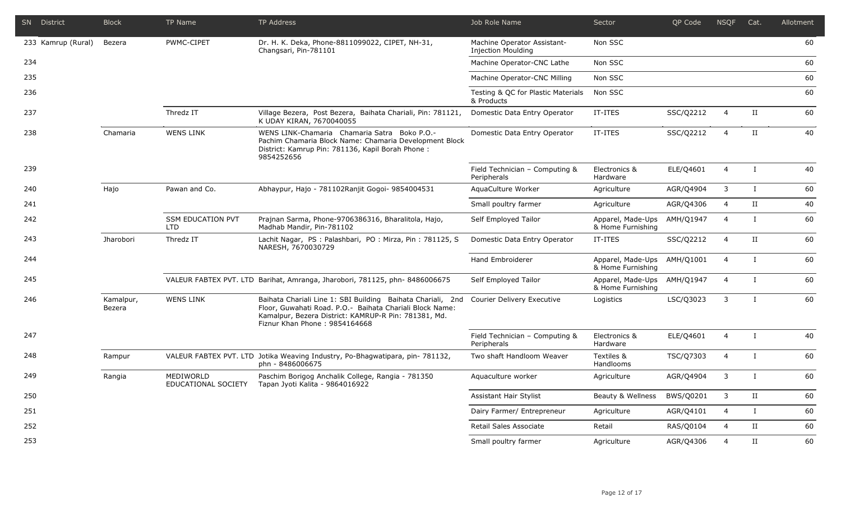|     | SN District        | <b>Block</b>        | <b>TP Name</b>                         | <b>TP Address</b>                                                                                                                                                                                                 | Job Role Name                                            | Sector                                 | QP Code   | <b>NSQF</b>    | Cat.         | Allotment |
|-----|--------------------|---------------------|----------------------------------------|-------------------------------------------------------------------------------------------------------------------------------------------------------------------------------------------------------------------|----------------------------------------------------------|----------------------------------------|-----------|----------------|--------------|-----------|
|     | 233 Kamrup (Rural) | Bezera              | PWMC-CIPET                             | Dr. H. K. Deka, Phone-8811099022, CIPET, NH-31,<br>Changsari, Pin-781101                                                                                                                                          | Machine Operator Assistant-<br><b>Injection Moulding</b> | Non SSC                                |           |                |              | 60        |
| 234 |                    |                     |                                        |                                                                                                                                                                                                                   | Machine Operator-CNC Lathe                               | Non SSC                                |           |                |              | 60        |
| 235 |                    |                     |                                        |                                                                                                                                                                                                                   | Machine Operator-CNC Milling                             | Non SSC                                |           |                |              | 60        |
| 236 |                    |                     |                                        |                                                                                                                                                                                                                   | Testing & QC for Plastic Materials<br>& Products         | Non SSC                                |           |                |              | 60        |
| 237 |                    |                     | Thredz IT                              | Village Bezera, Post Bezera, Baihata Chariali, Pin: 781121,<br>K UDAY KIRAN, 7670040055                                                                                                                           | Domestic Data Entry Operator                             | IT-ITES                                | SSC/Q2212 | $\overline{4}$ | II           | 60        |
| 238 |                    | Chamaria            | <b>WENS LINK</b>                       | WENS LINK-Chamaria Chamaria Satra Boko P.O.-<br>Pachim Chamaria Block Name: Chamaria Development Block<br>District: Kamrup Pin: 781136, Kapil Borah Phone :<br>9854252656                                         | Domestic Data Entry Operator                             | IT-ITES                                | SSC/Q2212 | $\overline{4}$ | $_{\rm II}$  | 40        |
| 239 |                    |                     |                                        |                                                                                                                                                                                                                   | Field Technician - Computing &<br>Peripherals            | Electronics &<br>Hardware              | ELE/Q4601 | $\overline{4}$ | $\mathbf{I}$ | 40        |
| 240 |                    | Hajo                | Pawan and Co.                          | Abhaypur, Hajo - 781102Ranjit Gogoi- 9854004531                                                                                                                                                                   | AquaCulture Worker                                       | Agriculture                            | AGR/Q4904 | $\mathbf{3}$   | $\mathbf{I}$ | 60        |
| 241 |                    |                     |                                        |                                                                                                                                                                                                                   | Small poultry farmer                                     | Agriculture                            | AGR/Q4306 | $\overline{4}$ | $_{\rm II}$  | 40        |
| 242 |                    |                     | <b>SSM EDUCATION PVT</b><br><b>LTD</b> | Prajnan Sarma, Phone-9706386316, Bharalitola, Hajo,<br>Madhab Mandir, Pin-781102                                                                                                                                  | Self Employed Tailor                                     | Apparel, Made-Ups<br>& Home Furnishing | AMH/Q1947 | $\overline{4}$ | $\bf{I}$     | 60        |
| 243 |                    | Jharobori           | Thredz IT                              | Lachit Nagar, PS : Palashbari, PO : Mirza, Pin : 781125, S<br>NARESH, 7670030729                                                                                                                                  | Domestic Data Entry Operator                             | IT-ITES                                | SSC/Q2212 | $\overline{4}$ | II           | 60        |
| 244 |                    |                     |                                        |                                                                                                                                                                                                                   | <b>Hand Embroiderer</b>                                  | Apparel, Made-Ups<br>& Home Furnishing | AMH/Q1001 | $\overline{4}$ | $\mathbf{I}$ | 60        |
| 245 |                    |                     |                                        | VALEUR FABTEX PVT. LTD Barihat, Amranga, Jharobori, 781125, phn-8486006675                                                                                                                                        | Self Employed Tailor                                     | Apparel, Made-Ups<br>& Home Furnishing | AMH/Q1947 | $\overline{4}$ | $\mathbf{I}$ | 60        |
| 246 |                    | Kamalpur,<br>Bezera | <b>WENS LINK</b>                       | Baihata Chariali Line 1: SBI Building Baihata Chariali, 2nd<br>Floor, Guwahati Road. P.O. - Baihata Chariali Block Name:<br>Kamalpur, Bezera District: KAMRUP-R Pin: 781381, Md.<br>Fiznur Khan Phone: 9854164668 | Courier Delivery Executive                               | Logistics                              | LSC/Q3023 | 3              | $\mathbf{I}$ | 60        |
| 247 |                    |                     |                                        |                                                                                                                                                                                                                   | Field Technician - Computing &<br>Peripherals            | Electronics &<br>Hardware              | ELE/Q4601 | $\overline{4}$ | $\mathbf{I}$ | 40        |
| 248 |                    | Rampur              |                                        | VALEUR FABTEX PVT. LTD Jotika Weaving Industry, Po-Bhagwatipara, pin- 781132,<br>phn - 8486006675                                                                                                                 | Two shaft Handloom Weaver                                | Textiles &<br>Handlooms                | TSC/Q7303 | $\overline{4}$ | $\bf{I}$     | 60        |
| 249 |                    | Rangia              | MEDIWORLD<br>EDUCATIONAL SOCIETY       | Paschim Borigog Anchalik College, Rangia - 781350<br>Tapan Jyoti Kalita - 9864016922                                                                                                                              | Aquaculture worker                                       | Agriculture                            | AGR/Q4904 | 3              | $\mathbf I$  | 60        |
| 250 |                    |                     |                                        |                                                                                                                                                                                                                   | Assistant Hair Stylist                                   | Beauty & Wellness                      | BWS/Q0201 | 3              | II           | 60        |
| 251 |                    |                     |                                        |                                                                                                                                                                                                                   | Dairy Farmer/ Entrepreneur                               | Agriculture                            | AGR/Q4101 | $\overline{4}$ | $\bf{I}$     | 60        |
| 252 |                    |                     |                                        |                                                                                                                                                                                                                   | Retail Sales Associate                                   | Retail                                 | RAS/Q0104 | $\overline{4}$ | II           | 60        |
| 253 |                    |                     |                                        |                                                                                                                                                                                                                   | Small poultry farmer                                     | Agriculture                            | AGR/Q4306 | $\overline{4}$ | $_{\rm II}$  | 60        |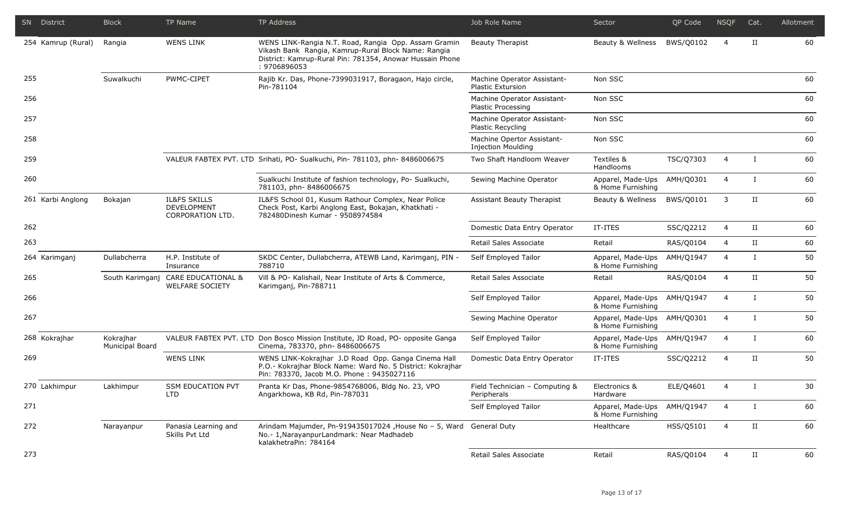|     | SN District        | <b>Block</b>                 | TP Name                                                      | TP Address                                                                                                                                                                              | Job Role Name                                           | Sector                                 | QP Code   | <b>NSQF</b>    | Cat.                 | Allotment |
|-----|--------------------|------------------------------|--------------------------------------------------------------|-----------------------------------------------------------------------------------------------------------------------------------------------------------------------------------------|---------------------------------------------------------|----------------------------------------|-----------|----------------|----------------------|-----------|
|     | 254 Kamrup (Rural) | Rangia                       | <b>WENS LINK</b>                                             | WENS LINK-Rangia N.T. Road, Rangia Opp. Assam Gramin<br>Vikash Bank Rangia, Kamrup-Rural Block Name: Rangia<br>District: Kamrup-Rural Pin: 781354, Anowar Hussain Phone<br>: 9706896053 | <b>Beauty Therapist</b>                                 | Beauty & Wellness                      | BWS/Q0102 | $\overline{4}$ | $_{\rm II}$          | 60        |
| 255 |                    | Suwalkuchi                   | PWMC-CIPET                                                   | Rajib Kr. Das, Phone-7399031917, Boragaon, Hajo circle,<br>Pin-781104                                                                                                                   | Machine Operator Assistant-<br><b>Plastic Extursion</b> | Non SSC                                |           |                |                      | 60        |
| 256 |                    |                              |                                                              |                                                                                                                                                                                         | Machine Operator Assistant-<br>Plastic Processing       | Non SSC                                |           |                |                      | 60        |
| 257 |                    |                              |                                                              |                                                                                                                                                                                         | Machine Operator Assistant-<br>Plastic Recycling        | Non SSC                                |           |                |                      | 60        |
| 258 |                    |                              |                                                              |                                                                                                                                                                                         | Machine Opertor Assistant-<br><b>Injection Moulding</b> | Non SSC                                |           |                |                      | 60        |
| 259 |                    |                              |                                                              | VALEUR FABTEX PVT. LTD Srihati, PO- Sualkuchi, Pin- 781103, phn- 8486006675                                                                                                             | Two Shaft Handloom Weaver                               | Textiles &<br>Handlooms                | TSC/Q7303 | $\overline{4}$ | $\bf{I}$             | 60        |
| 260 |                    |                              |                                                              | Sualkuchi Institute of fashion technology, Po- Sualkuchi,<br>781103, phn-8486006675                                                                                                     | Sewing Machine Operator                                 | Apparel, Made-Ups<br>& Home Furnishing | AMH/Q0301 | $\overline{4}$ | $\mathbf{I}$         | 60        |
|     | 261 Karbi Anglong  | Bokajan                      | <b>IL&amp;FS SKILLS</b><br>DEVELOPMENT<br>CORPORATION LTD.   | IL&FS School 01, Kusum Rathour Complex, Near Police<br>Check Post, Karbi Anglong East, Bokajan, Khatkhati -<br>782480Dinesh Kumar - 9508974584                                          | <b>Assistant Beauty Therapist</b>                       | Beauty & Wellness                      | BWS/Q0101 | 3              | $_{\rm II}$          | 60        |
| 262 |                    |                              |                                                              |                                                                                                                                                                                         | Domestic Data Entry Operator                            | IT-ITES                                | SSC/Q2212 | 4              | $\scriptstyle\rm II$ | 60        |
| 263 |                    |                              |                                                              |                                                                                                                                                                                         | Retail Sales Associate                                  | Retail                                 | RAS/Q0104 | 4              | $_{\rm II}$          | 60        |
|     | 264 Karimganj      | Dullabcherra                 | H.P. Institute of<br>Insurance                               | SKDC Center, Dullabcherra, ATEWB Land, Karimganj, PIN -<br>788710                                                                                                                       | Self Employed Tailor                                    | Apparel, Made-Ups<br>& Home Furnishing | AMH/Q1947 | $\overline{4}$ | $\mathbf{I}$         | 50        |
| 265 |                    |                              | South Karimganj CARE EDUCATIONAL &<br><b>WELFARE SOCIETY</b> | Vill & PO- Kalishail, Near Institute of Arts & Commerce,<br>Karimganj, Pin-788711                                                                                                       | Retail Sales Associate                                  | Retail                                 | RAS/Q0104 | $\overline{4}$ | $_{\rm II}$          | 50        |
| 266 |                    |                              |                                                              |                                                                                                                                                                                         | Self Employed Tailor                                    | Apparel, Made-Ups<br>& Home Furnishing | AMH/Q1947 | 4              | $\mathbf{I}$         | 50        |
| 267 |                    |                              |                                                              |                                                                                                                                                                                         | Sewing Machine Operator                                 | Apparel, Made-Ups<br>& Home Furnishing | AMH/Q0301 | $\overline{4}$ | $\mathbf{I}$         | 50        |
|     | 268 Kokrajhar      | Kokrajhar<br>Municipal Board |                                                              | VALEUR FABTEX PVT. LTD Don Bosco Mission Institute, JD Road, PO- opposite Ganga<br>Cinema, 783370, phn-8486006675                                                                       | Self Employed Tailor                                    | Apparel, Made-Ups<br>& Home Furnishing | AMH/Q1947 | $\overline{4}$ | $\mathbf{I}$         | 60        |
| 269 |                    |                              | <b>WENS LINK</b>                                             | WENS LINK-Kokrajhar J.D Road Opp. Ganga Cinema Hall<br>P.O.- Kokrajhar Block Name: Ward No. 5 District: Kokrajhar<br>Pin: 783370, Jacob M.O. Phone: 9435027116                          | Domestic Data Entry Operator                            | IT-ITES                                | SSC/Q2212 | $\overline{4}$ | $_{\rm II}$          | 50        |
|     | 270 Lakhimpur      | Lakhimpur                    | <b>SSM EDUCATION PVT</b><br><b>LTD</b>                       | Pranta Kr Das, Phone-9854768006, Bldg No. 23, VPO<br>Angarkhowa, KB Rd, Pin-787031                                                                                                      | Field Technician - Computing &<br>Peripherals           | Electronics &<br>Hardware              | ELE/Q4601 | $\overline{4}$ | $\bf{I}$             | 30        |
| 271 |                    |                              |                                                              |                                                                                                                                                                                         | Self Employed Tailor                                    | Apparel, Made-Ups<br>& Home Furnishing | AMH/Q1947 | $\overline{4}$ | П.                   | 60        |
| 272 |                    | Narayanpur                   | Panasia Learning and<br>Skills Pvt Ltd                       | Arindam Majumder, Pn-919435017024, House No - 5, Ward General Duty<br>No.- 1, Narayanpur Landmark: Near Madhadeb<br>kalakhetraPin: 784164                                               |                                                         | Healthcare                             | HSS/Q5101 | 4              | $\scriptstyle\rm II$ | 60        |
| 273 |                    |                              |                                                              |                                                                                                                                                                                         | Retail Sales Associate                                  | Retail                                 | RAS/Q0104 | 4              | $\scriptstyle\rm II$ | 60        |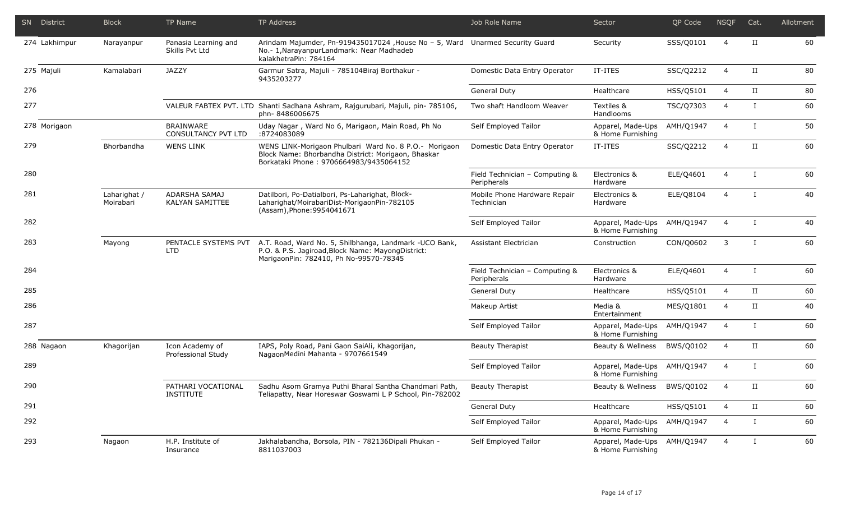|     | SN District   | <b>Block</b>              | TP Name                                        | TP Address                                                                                                                                              | Job Role Name                                 | Sector                                 | QP Code   | <b>NSQF</b>    | Cat.         | Allotment |
|-----|---------------|---------------------------|------------------------------------------------|---------------------------------------------------------------------------------------------------------------------------------------------------------|-----------------------------------------------|----------------------------------------|-----------|----------------|--------------|-----------|
|     | 274 Lakhimpur | Narayanpur                | Panasia Learning and<br>Skills Pvt Ltd         | Arindam Majumder, Pn-919435017024 ,House No - 5, Ward Unarmed Security Guard<br>No.- 1, Narayanpur Landmark: Near Madhadeb<br>kalakhetraPin: 784164     |                                               | Security                               | SSS/Q0101 | 4              | П            | 60        |
|     | 275 Majuli    | Kamalabari                | <b>JAZZY</b>                                   | Garmur Satra, Majuli - 785104Biraj Borthakur -<br>9435203277                                                                                            | Domestic Data Entry Operator                  | IT-ITES                                | SSC/Q2212 | $\overline{4}$ | $_{\rm II}$  | 80        |
| 276 |               |                           |                                                |                                                                                                                                                         | General Duty                                  | Healthcare                             | HSS/Q5101 | $\overline{4}$ | $_{\rm II}$  | 80        |
| 277 |               |                           |                                                | VALEUR FABTEX PVT. LTD Shanti Sadhana Ashram, Rajgurubari, Majuli, pin- 785106,<br>phn-8486006675                                                       | Two shaft Handloom Weaver                     | Textiles &<br>Handlooms                | TSC/Q7303 | $\overline{4}$ | $\mathsf{L}$ | 60        |
|     | 278 Morigaon  |                           | <b>BRAINWARE</b><br><b>CONSULTANCY PVT LTD</b> | Uday Nagar, Ward No 6, Marigaon, Main Road, Ph No<br>:8724083089                                                                                        | Self Employed Tailor                          | Apparel, Made-Ups<br>& Home Furnishing | AMH/Q1947 | $\overline{4}$ | $\bf{I}$     | 50        |
| 279 |               | Bhorbandha                | <b>WENS LINK</b>                               | WENS LINK-Morigaon Phulbari Ward No. 8 P.O.- Morigaon<br>Block Name: Bhorbandha District: Morigaon, Bhaskar<br>Borkataki Phone: 9706664983/9435064152   | Domestic Data Entry Operator                  | IT-ITES                                | SSC/Q2212 | 4              | П            | 60        |
| 280 |               |                           |                                                |                                                                                                                                                         | Field Technician - Computing &<br>Peripherals | Electronics &<br>Hardware              | ELE/Q4601 | $\overline{4}$ | $\mathsf{L}$ | 60        |
| 281 |               | Laharighat /<br>Moirabari | ADARSHA SAMAJ<br><b>KALYAN SAMITTEE</b>        | Datilbori, Po-Datialbori, Ps-Laharighat, Block-<br>Laharighat/MoirabariDist-MorigaonPin-782105<br>(Assam), Phone: 9954041671                            | Mobile Phone Hardware Repair<br>Technician    | Electronics &<br>Hardware              | ELE/Q8104 | $\overline{4}$ | $\mathbf{I}$ | 40        |
| 282 |               |                           |                                                |                                                                                                                                                         | Self Employed Tailor                          | Apparel, Made-Ups<br>& Home Furnishing | AMH/Q1947 | $\overline{4}$ | $\mathbf{I}$ | 40        |
| 283 |               | Mayong                    | PENTACLE SYSTEMS PVT<br><b>LTD</b>             | A.T. Road, Ward No. 5, Shilbhanga, Landmark - UCO Bank,<br>P.O. & P.S. Jagiroad, Block Name: Mayong District:<br>MarigaonPin: 782410, Ph No-99570-78345 | Assistant Electrician                         | Construction                           | CON/Q0602 | 3              | $\mathbf{I}$ | 60        |
| 284 |               |                           |                                                |                                                                                                                                                         | Field Technician - Computing &<br>Peripherals | Electronics &<br>Hardware              | ELE/Q4601 | $\overline{4}$ | $\mathbf{I}$ | 60        |
| 285 |               |                           |                                                |                                                                                                                                                         | General Duty                                  | Healthcare                             | HSS/Q5101 | 4              | $_{\rm II}$  | 60        |
| 286 |               |                           |                                                |                                                                                                                                                         | Makeup Artist                                 | Media &<br>Entertainment               | MES/Q1801 | $\overline{4}$ | $_{\rm II}$  | 40        |
| 287 |               |                           |                                                |                                                                                                                                                         | Self Employed Tailor                          | Apparel, Made-Ups<br>& Home Furnishing | AMH/Q1947 | $\overline{4}$ | $\mathbf{I}$ | 60        |
|     | 288 Nagaon    | Khagorijan                | Icon Academy of<br>Professional Study          | IAPS, Poly Road, Pani Gaon SaiAli, Khagorijan,<br>NagaonMedini Mahanta - 9707661549                                                                     | <b>Beauty Therapist</b>                       | Beauty & Wellness                      | BWS/Q0102 | 4              | П            | 60        |
| 289 |               |                           |                                                |                                                                                                                                                         | Self Employed Tailor                          | Apparel, Made-Ups<br>& Home Furnishing | AMH/Q1947 | $\overline{4}$ | $\bf{I}$     | 60        |
| 290 |               |                           | PATHARI VOCATIONAL<br><b>INSTITUTE</b>         | Sadhu Asom Gramya Puthi Bharal Santha Chandmari Path,<br>Teliapatty, Near Horeswar Goswami L P School, Pin-782002                                       | <b>Beauty Therapist</b>                       | Beauty & Wellness                      | BWS/Q0102 | $\overline{4}$ | П            | 60        |
| 291 |               |                           |                                                |                                                                                                                                                         | General Duty                                  | Healthcare                             | HSS/Q5101 | $\overline{4}$ | II           | 60        |
| 292 |               |                           |                                                |                                                                                                                                                         | Self Employed Tailor                          | Apparel, Made-Ups<br>& Home Furnishing | AMH/Q1947 | $\overline{4}$ | $\mathbf{I}$ | 60        |
| 293 |               | Nagaon                    | H.P. Institute of<br>Insurance                 | Jakhalabandha, Borsola, PIN - 782136Dipali Phukan -<br>8811037003                                                                                       | Self Employed Tailor                          | Apparel, Made-Ups<br>& Home Furnishing | AMH/Q1947 | $\overline{4}$ | $\bf{I}$     | 60        |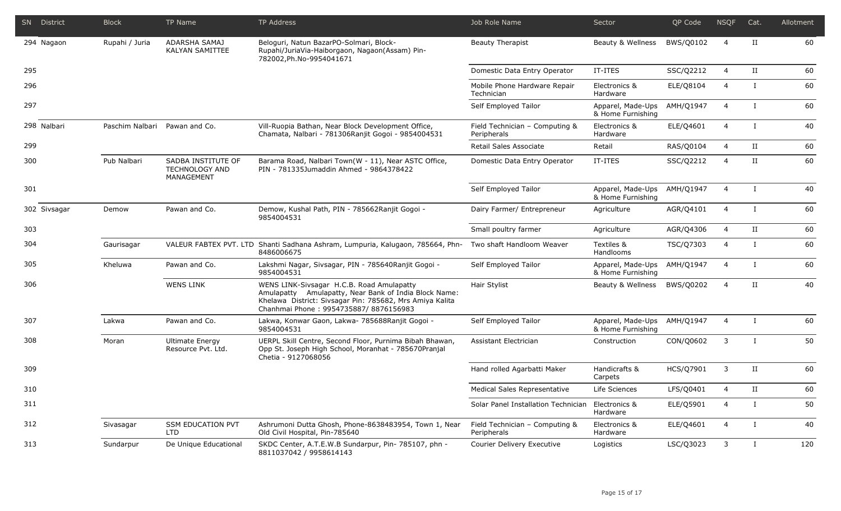|     | SN District  | <b>Block</b>                  | TP Name                                                   | <b>TP Address</b>                                                                                                                                                                                       | Job Role Name                                     | Sector                                 | QP Code          | <b>NSQF</b>    | Cat.                 | Allotment |
|-----|--------------|-------------------------------|-----------------------------------------------------------|---------------------------------------------------------------------------------------------------------------------------------------------------------------------------------------------------------|---------------------------------------------------|----------------------------------------|------------------|----------------|----------------------|-----------|
|     | 294 Nagaon   | Rupahi / Juria                | ADARSHA SAMAJ<br><b>KALYAN SAMITTEE</b>                   | Beloguri, Natun BazarPO-Solmari, Block-<br>Rupahi/JuriaVia-Haiborgaon, Nagaon(Assam) Pin-<br>782002, Ph. No-9954041671                                                                                  | <b>Beauty Therapist</b>                           | Beauty & Wellness                      | BWS/Q0102        | 4              | $_{\rm II}$          | 60        |
| 295 |              |                               |                                                           |                                                                                                                                                                                                         | Domestic Data Entry Operator                      | IT-ITES                                | SSC/Q2212        | $\overline{4}$ | П                    | 60        |
| 296 |              |                               |                                                           |                                                                                                                                                                                                         | Mobile Phone Hardware Repair<br>Technician        | Electronics &<br>Hardware              | ELE/Q8104        | $\overline{4}$ | $\bf{I}$             | 60        |
| 297 |              |                               |                                                           |                                                                                                                                                                                                         | Self Employed Tailor                              | Apparel, Made-Ups<br>& Home Furnishing | AMH/Q1947        | $\overline{4}$ | $\mathbf{I}$         | 60        |
|     | 298 Nalbari  | Paschim Nalbari Pawan and Co. |                                                           | Vill-Ruopia Bathan, Near Block Development Office,<br>Chamata, Nalbari - 781306Ranjit Gogoi - 9854004531                                                                                                | Field Technician - Computing &<br>Peripherals     | Electronics &<br>Hardware              | ELE/Q4601        | $\overline{4}$ | $\bf{I}$             | 40        |
| 299 |              |                               |                                                           |                                                                                                                                                                                                         | Retail Sales Associate                            | Retail                                 | RAS/Q0104        | $\overline{4}$ | П                    | 60        |
| 300 |              | Pub Nalbari                   | SADBA INSTITUTE OF<br><b>TECHNOLOGY AND</b><br>MANAGEMENT | Barama Road, Nalbari Town(W - 11), Near ASTC Office,<br>PIN - 781335Jumaddin Ahmed - 9864378422                                                                                                         | Domestic Data Entry Operator                      | IT-ITES                                | SSC/Q2212        | $\overline{4}$ | П                    | 60        |
| 301 |              |                               |                                                           |                                                                                                                                                                                                         | Self Employed Tailor                              | Apparel, Made-Ups<br>& Home Furnishing | AMH/Q1947        | $\overline{4}$ | $\bf{I}$             | 40        |
|     | 302 Sivsagar | Demow                         | Pawan and Co.                                             | Demow, Kushal Path, PIN - 785662Ranjit Gogoi -<br>9854004531                                                                                                                                            | Dairy Farmer/ Entrepreneur                        | Agriculture                            | AGR/Q4101        | 4              | $\bf{I}$             | 60        |
| 303 |              |                               |                                                           |                                                                                                                                                                                                         | Small poultry farmer                              | Agriculture                            | AGR/Q4306        | 4              | П                    | 60        |
| 304 |              | Gaurisagar                    |                                                           | VALEUR FABTEX PVT. LTD Shanti Sadhana Ashram, Lumpuria, Kalugaon, 785664, Phn-<br>8486006675                                                                                                            | Two shaft Handloom Weaver                         | Textiles &<br>Handlooms                | TSC/Q7303        | 4              |                      | 60        |
| 305 |              | Kheluwa                       | Pawan and Co.                                             | Lakshmi Nagar, Sivsagar, PIN - 785640Ranjit Gogoi -<br>9854004531                                                                                                                                       | Self Employed Tailor                              | Apparel, Made-Ups<br>& Home Furnishing | AMH/Q1947        | $\overline{4}$ | $\mathbf I$          | 60        |
| 306 |              |                               | <b>WENS LINK</b>                                          | WENS LINK-Sivsagar H.C.B. Road Amulapatty<br>Amulapatty Amulapatty, Near Bank of India Block Name:<br>Khelawa District: Sivsagar Pin: 785682, Mrs Amiya Kalita<br>Chanhmai Phone: 9954735887/8876156983 | Hair Stylist                                      | Beauty & Wellness                      | BWS/Q0202        | 4              | $_{\rm II}$          | 40        |
| 307 |              | Lakwa                         | Pawan and Co.                                             | Lakwa, Konwar Gaon, Lakwa- 785688Ranjit Gogoi -<br>9854004531                                                                                                                                           | Self Employed Tailor                              | Apparel, Made-Ups<br>& Home Furnishing | AMH/Q1947        | $\overline{4}$ | $\mathbf I$          | 60        |
| 308 |              | Moran                         | <b>Ultimate Energy</b><br>Resource Pvt. Ltd.              | UERPL Skill Centre, Second Floor, Purnima Bibah Bhawan,<br>Opp St. Joseph High School, Moranhat - 785670Pranjal<br>Chetia - 9127068056                                                                  | Assistant Electrician                             | Construction                           | CON/Q0602        | 3              | $\mathbf{I}$         | 50        |
| 309 |              |                               |                                                           |                                                                                                                                                                                                         | Hand rolled Agarbatti Maker                       | Handicrafts &<br>Carpets               | <b>HCS/Q7901</b> | 3              | $_{\rm II}$          | 60        |
| 310 |              |                               |                                                           |                                                                                                                                                                                                         | Medical Sales Representative                      | Life Sciences                          | LFS/Q0401        | 4              | $\scriptstyle\rm II$ | 60        |
| 311 |              |                               |                                                           |                                                                                                                                                                                                         | Solar Panel Installation Technician Electronics & | Hardware                               | ELE/Q5901        | $\overline{4}$ | Ι.                   | 50        |
| 312 |              | Sivasagar                     | <b>SSM EDUCATION PVT</b><br><b>LTD</b>                    | Ashrumoni Dutta Ghosh, Phone-8638483954, Town 1, Near<br>Old Civil Hospital, Pin-785640                                                                                                                 | Field Technician - Computing &<br>Peripherals     | Electronics &<br>Hardware              | ELE/Q4601        | 4              | $\bf{I}$             | 40        |
| 313 |              | Sundarpur                     | De Unique Educational                                     | SKDC Center, A.T.E.W.B Sundarpur, Pin- 785107, phn -<br>8811037042 / 9958614143                                                                                                                         | Courier Delivery Executive                        | Logistics                              | LSC/Q3023        | 3              | $\bf{I}$             | 120       |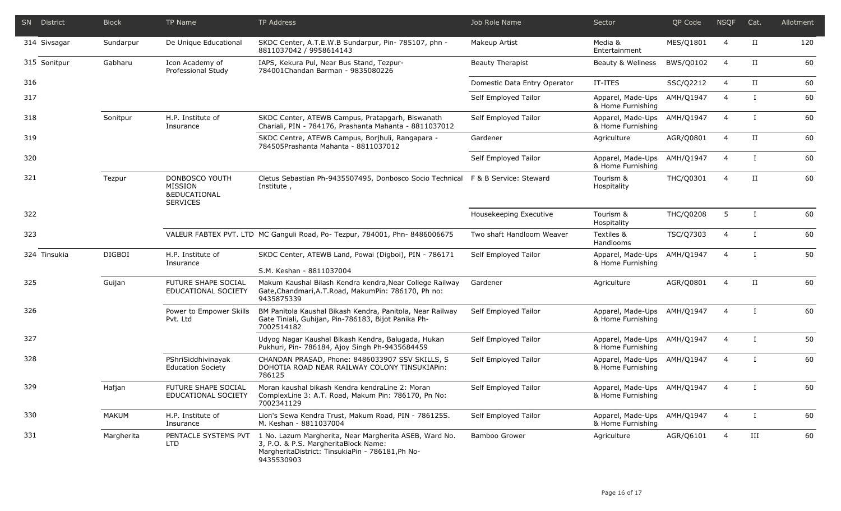| SN District  | <b>Block</b>  | TP Name                                                                 | TP Address                                                                                                                                                       | Job Role Name                | Sector                                           | QP Code          | <b>NSQF</b>    | Cat.                 | Allotment |
|--------------|---------------|-------------------------------------------------------------------------|------------------------------------------------------------------------------------------------------------------------------------------------------------------|------------------------------|--------------------------------------------------|------------------|----------------|----------------------|-----------|
| 314 Sivsagar | Sundarpur     | De Unique Educational                                                   | SKDC Center, A.T.E.W.B Sundarpur, Pin- 785107, phn -<br>8811037042 / 9958614143                                                                                  | Makeup Artist                | Media &<br>Entertainment                         | MES/Q1801        | $\overline{4}$ | П                    | 120       |
| 315 Sonitpur | Gabharu       | Icon Academy of<br>Professional Study                                   | IAPS, Kekura Pul, Near Bus Stand, Tezpur-<br>784001Chandan Barman - 9835080226                                                                                   | <b>Beauty Therapist</b>      | Beauty & Wellness                                | BWS/Q0102        | 4              | П                    | 60        |
| 316          |               |                                                                         |                                                                                                                                                                  | Domestic Data Entry Operator | IT-ITES                                          | SSC/Q2212        | 4              | $\scriptstyle\rm II$ | 60        |
| 317          |               |                                                                         |                                                                                                                                                                  | Self Employed Tailor         | Apparel, Made-Ups<br>& Home Furnishing           | AMH/Q1947        | $\overline{4}$ | $\bf{I}$             | 60        |
| 318          | Sonitpur      | H.P. Institute of<br>Insurance                                          | SKDC Center, ATEWB Campus, Pratapgarh, Biswanath<br>Chariali, PIN - 784176, Prashanta Mahanta - 8811037012                                                       | Self Employed Tailor         | Apparel, Made-Ups<br>& Home Furnishing           | AMH/Q1947        | $\overline{4}$ | $\bf{I}$             | 60        |
| 319          |               |                                                                         | SKDC Centre, ATEWB Campus, Borjhuli, Rangapara -<br>784505Prashanta Mahanta - 8811037012                                                                         | Gardener                     | Agriculture                                      | AGR/Q0801        | $\overline{4}$ | П                    | 60        |
| 320          |               |                                                                         |                                                                                                                                                                  | Self Employed Tailor         | Apparel, Made-Ups<br>& Home Furnishing           | AMH/Q1947        | $\overline{4}$ | Ι.                   | 60        |
| 321          | Tezpur        | DONBOSCO YOUTH<br>MISSION<br><b>&amp;EDUCATIONAL</b><br><b>SERVICES</b> | Cletus Sebastian Ph-9435507495, Donbosco Socio Technical<br>Institute,                                                                                           | F & B Service: Steward       | Tourism &<br>Hospitality                         | THC/Q0301        | $\overline{4}$ | П                    | 60        |
| 322          |               |                                                                         |                                                                                                                                                                  | Housekeeping Executive       | Tourism &<br>Hospitality                         | <b>THC/Q0208</b> | 5              | $\mathbf{I}$         | 60        |
| 323          |               |                                                                         | VALEUR FABTEX PVT. LTD MC Ganguli Road, Po- Tezpur, 784001, Phn- 8486006675                                                                                      | Two shaft Handloom Weaver    | Textiles &<br>Handlooms                          | TSC/Q7303        | $\overline{4}$ | $\mathbf{I}$         | 60        |
| 324 Tinsukia | <b>DIGBOI</b> | H.P. Institute of<br>Insurance                                          | SKDC Center, ATEWB Land, Powai (Digboi), PIN - 786171<br>S.M. Keshan - 8811037004                                                                                | Self Employed Tailor         | Apparel, Made-Ups<br>& Home Furnishing           | AMH/Q1947        | $\overline{4}$ | T                    | 50        |
| 325          | Guijan        | FUTURE SHAPE SOCIAL<br>EDUCATIONAL SOCIETY                              | Makum Kaushal Bilash Kendra kendra, Near College Railway<br>Gate, Chandmari, A.T. Road, Makum Pin: 786170, Ph no:<br>9435875339                                  | Gardener                     | Agriculture                                      | AGR/Q0801        | $\overline{4}$ | $_{\rm II}$          | 60        |
| 326          |               | Power to Empower Skills<br>Pvt. Ltd                                     | BM Panitola Kaushal Bikash Kendra, Panitola, Near Railway<br>Gate Tiniali, Guhijan, Pin-786183, Bijot Panika Ph-<br>7002514182                                   | Self Employed Tailor         | Apparel, Made-Ups AMH/Q1947<br>& Home Furnishing |                  | $\overline{4}$ | $\mathbf{I}$         | 60        |
| 327          |               |                                                                         | Udyog Nagar Kaushal Bikash Kendra, Balugada, Hukan<br>Pukhuri, Pin- 786184, Ajoy Singh Ph-9435684459                                                             | Self Employed Tailor         | Apparel, Made-Ups<br>& Home Furnishing           | AMH/Q1947        | $\overline{4}$ | $\bf{I}$             | 50        |
| 328          |               | PShriSiddhivinayak<br><b>Education Society</b>                          | CHANDAN PRASAD, Phone: 8486033907 SSV SKILLS, S<br>DOHOTIA ROAD NEAR RAILWAY COLONY TINSUKIAPIn:<br>786125                                                       | Self Employed Tailor         | Apparel, Made-Ups AMH/Q1947<br>& Home Furnishing |                  | $\overline{4}$ | T                    | 60        |
| 329          | Hafjan        | <b>FUTURE SHAPE SOCIAL</b><br>EDUCATIONAL SOCIETY                       | Moran kaushal bikash Kendra kendraLine 2: Moran<br>ComplexLine 3: A.T. Road, Makum Pin: 786170, Pn No:<br>7002341129                                             | Self Employed Tailor         | Apparel, Made-Ups AMH/Q1947<br>& Home Furnishing |                  | $\overline{4}$ |                      | 60        |
| 330          | <b>MAKUM</b>  | H.P. Institute of<br>Insurance                                          | Lion's Sewa Kendra Trust, Makum Road, PIN - 786125S.<br>M. Keshan - 8811037004                                                                                   | Self Employed Tailor         | Apparel, Made-Ups AMH/Q1947<br>& Home Furnishing |                  | 4              | I                    | 60        |
| 331          | Margherita    | PENTACLE SYSTEMS PVT<br><b>LTD</b>                                      | 1 No. Lazum Margherita, Near Margherita ASEB, Ward No.<br>3, P.O. & P.S. MargheritaBlock Name:<br>MargheritaDistrict: TinsukiaPin - 786181, Ph No-<br>9435530903 | <b>Bamboo Grower</b>         | Agriculture                                      | AGR/Q6101        | 4              | III                  | 60        |